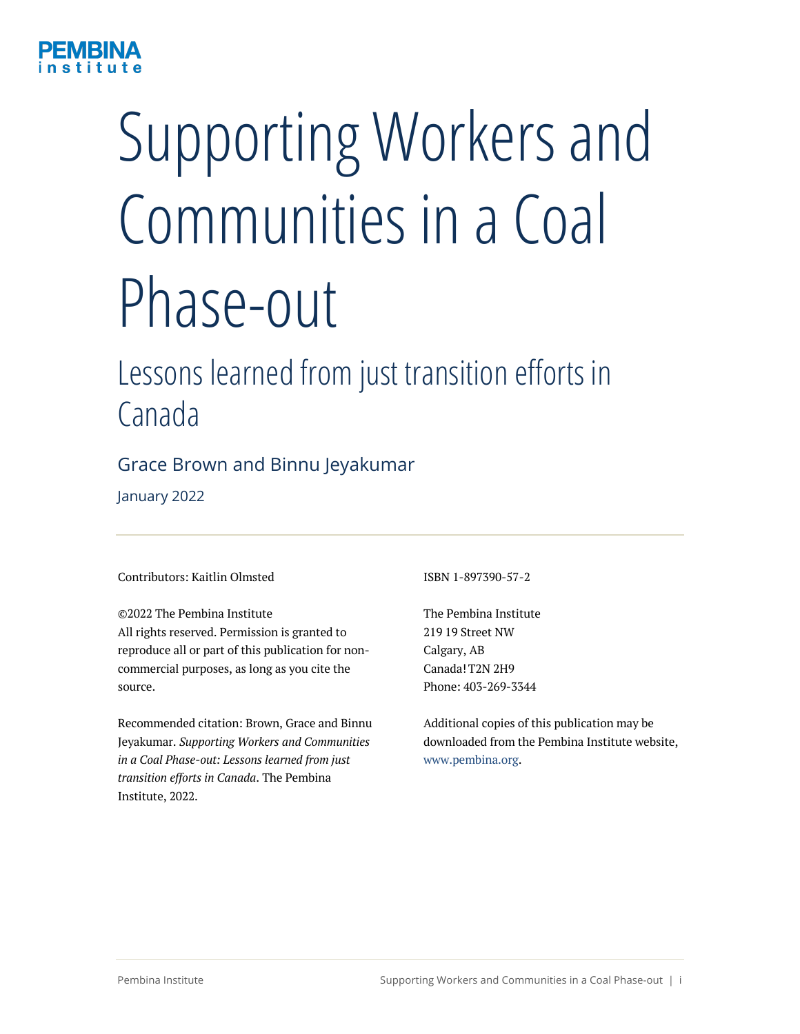

# Supporting Workers and Communities in a Coal Phase-out

# Lessons learned from just transition efforts in Canada

### Grace Brown and Binnu Jeyakumar

January 2022

#### Contributors: Kaitlin Olmsted

©2022 The Pembina Institute All rights reserved. Permission is granted to reproduce all or part of this publication for noncommercial purposes, as long as you cite the source.

Recommended citation: Brown, Grace and Binnu Jeyakumar. *Supporting Workers and Communities in a Coal Phase-out: Lessons learned from just transition efforts in Canada*. The Pembina Institute, 2022.

ISBN 1-897390-57-2

The Pembina Institute 219 19 Street NW Calgary, AB Canada! T2N 2H9 Phone: 403-269-3344

Additional copies of this publication may be downloaded from the Pembina Institute website, www.pembina.org.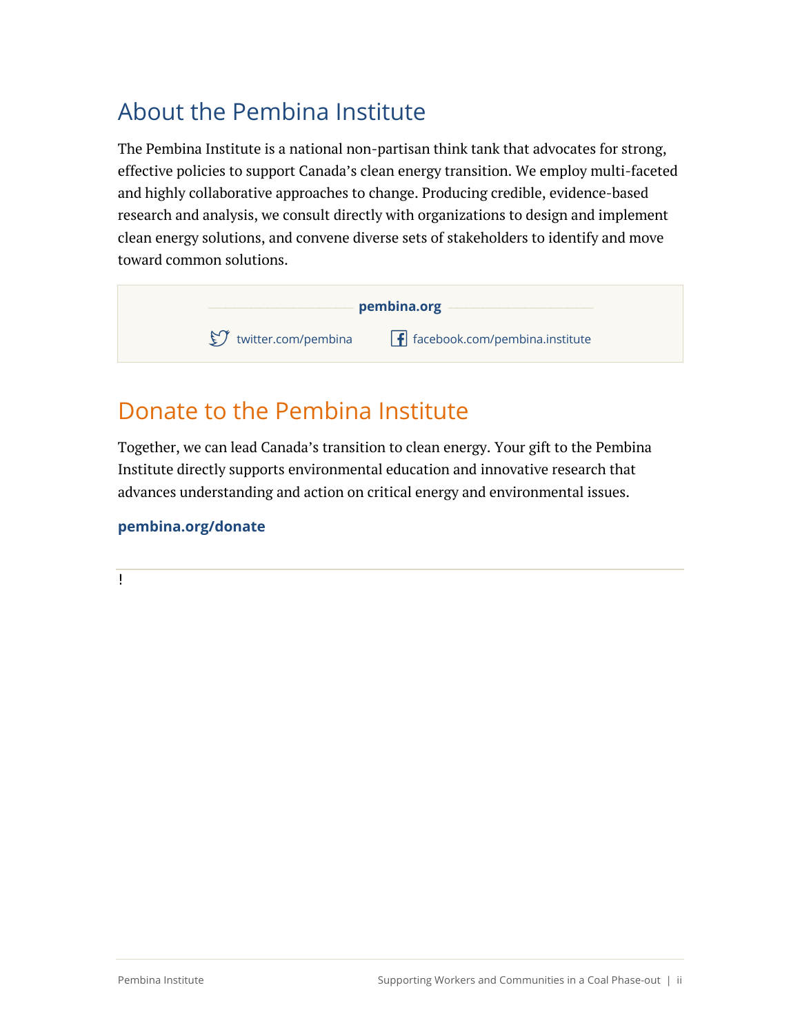# About the Pembina Institute

The Pembina Institute is a national non-partisan think tank that advocates for strong, effective policies to support Canada's clean energy transition. We employ multi-faceted and highly collaborative approaches to change. Producing credible, evidence-based research and analysis, we consult directly with organizations to design and implement clean energy solutions, and convene diverse sets of stakeholders to identify and move toward common solutions.



### Donate to the Pembina Institute

Together, we can lead Canada's transition to clean energy. Your gift to the Pembina Institute directly supports environmental education and innovative research that advances understanding and action on critical energy and environmental issues.

### **pembina.org/donate**

 $\mathsf{L}$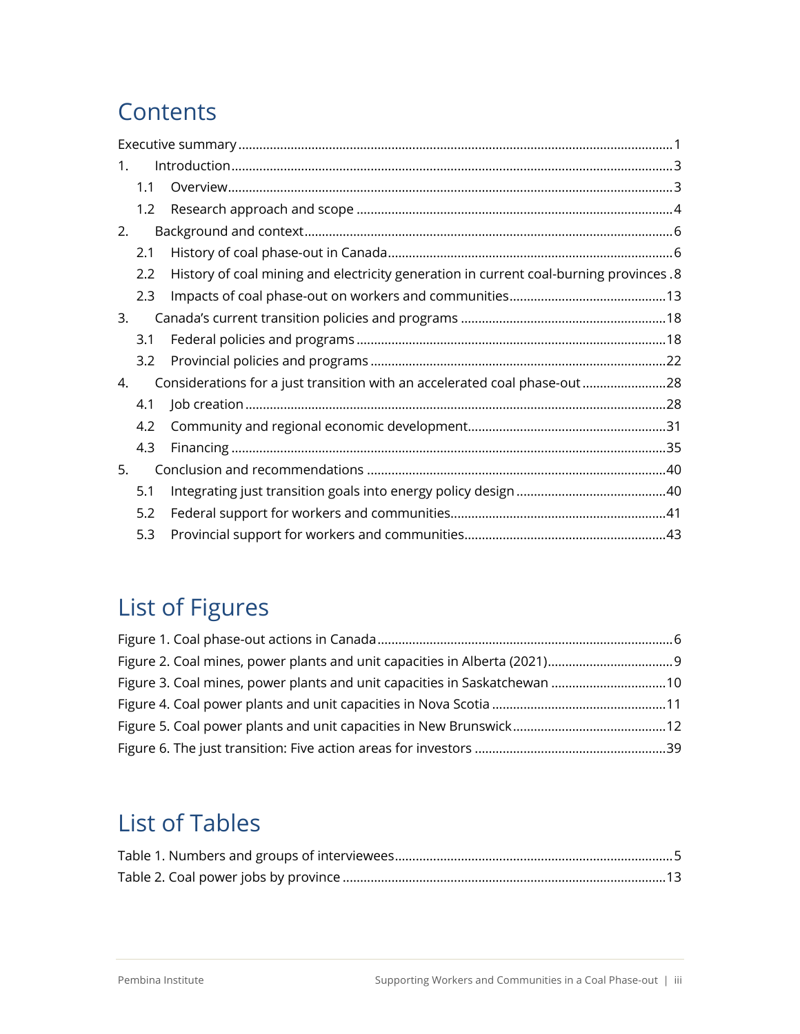# **Contents**

| $1_{\cdot}$ |     |                                                                                        |  |
|-------------|-----|----------------------------------------------------------------------------------------|--|
|             | 1.1 |                                                                                        |  |
|             | 1.2 |                                                                                        |  |
| 2.          |     |                                                                                        |  |
|             | 2.1 |                                                                                        |  |
|             | 2.2 | History of coal mining and electricity generation in current coal-burning provinces .8 |  |
|             | 2.3 |                                                                                        |  |
| 3.          |     |                                                                                        |  |
|             | 3.1 |                                                                                        |  |
|             | 3.2 |                                                                                        |  |
| 4.          |     | Considerations for a just transition with an accelerated coal phase-out 28             |  |
|             | 4.1 |                                                                                        |  |
|             | 4.2 |                                                                                        |  |
|             | 4.3 |                                                                                        |  |
| 5.          |     |                                                                                        |  |
|             | 5.1 |                                                                                        |  |
|             | 5.2 |                                                                                        |  |
|             | 5.3 |                                                                                        |  |

# List of Figures

| Figure 3. Coal mines, power plants and unit capacities in Saskatchewan 10 |  |
|---------------------------------------------------------------------------|--|
|                                                                           |  |
|                                                                           |  |
|                                                                           |  |

# List of Tables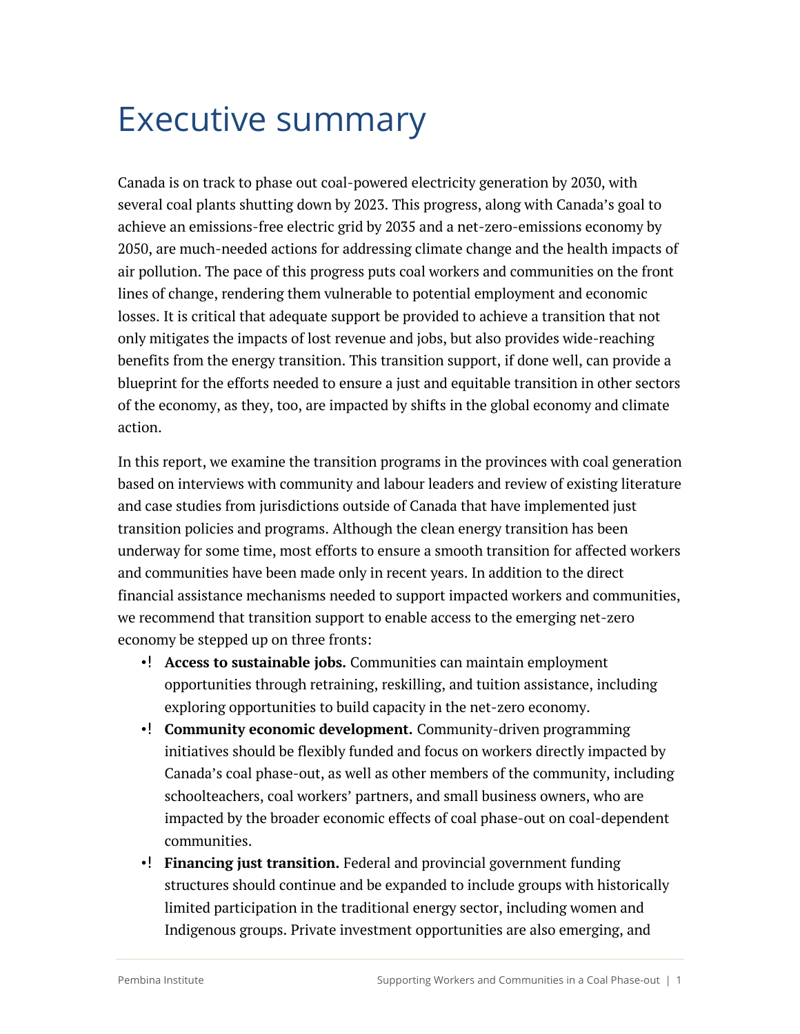# Executive summary

Canada is on track to phase out coal-powered electricity generation by 2030, with several coal plants shutting down by 2023. This progress, along with Canada's goal to achieve an emissions-free electric grid by 2035 and a net-zero-emissions economy by 2050, are much-needed actions for addressing climate change and the health impacts of air pollution. The pace of this progress puts coal workers and communities on the front lines of change, rendering them vulnerable to potential employment and economic losses. It is critical that adequate support be provided to achieve a transition that not only mitigates the impacts of lost revenue and jobs, but also provides wide-reaching benefits from the energy transition. This transition support, if done well, can provide a blueprint for the efforts needed to ensure a just and equitable transition in other sectors of the economy, as they, too, are impacted by shifts in the global economy and climate action.

In this report, we examine the transition programs in the provinces with coal generation based on interviews with community and labour leaders and review of existing literature and case studies from jurisdictions outside of Canada that have implemented just transition policies and programs. Although the clean energy transition has been underway for some time, most efforts to ensure a smooth transition for affected workers and communities have been made only in recent years. In addition to the direct financial assistance mechanisms needed to support impacted workers and communities, we recommend that transition support to enable access to the emerging net-zero economy be stepped up on three fronts:

- **Access to sustainable jobs.** Communities can maintain employment opportunities through retraining, reskilling, and tuition assistance, including exploring opportunities to build capacity in the net-zero economy.
- **Community economic development.** Community-driven programming initiatives should be flexibly funded and focus on workers directly impacted by Canada's coal phase-out, as well as other members of the community, including schoolteachers, coal workers' partners, and small business owners, who are impacted by the broader economic effects of coal phase-out on coal-dependent communities.
- •! Financing just transition. Federal and provincial government funding structures should continue and be expanded to include groups with historically limited participation in the traditional energy sector, including women and Indigenous groups. Private investment opportunities are also emerging, and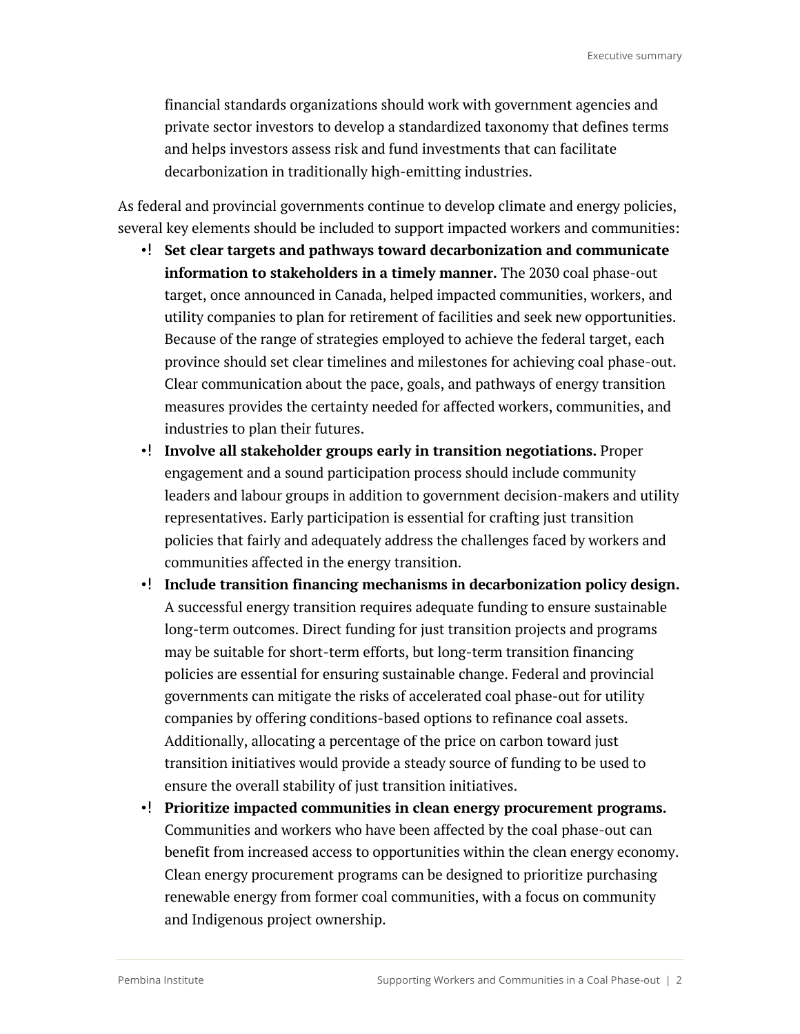financial standards organizations should work with government agencies and private sector investors to develop a standardized taxonomy that defines terms and helps investors assess risk and fund investments that can facilitate decarbonization in traditionally high-emitting industries.

As federal and provincial governments continue to develop climate and energy policies, several key elements should be included to support impacted workers and communities:

- **Set clear targets and pathways toward decarbonization and communicate information to stakeholders in a timely manner.** The 2030 coal phase-out target, once announced in Canada, helped impacted communities, workers, and utility companies to plan for retirement of facilities and seek new opportunities. Because of the range of strategies employed to achieve the federal target, each province should set clear timelines and milestones for achieving coal phase-out. Clear communication about the pace, goals, and pathways of energy transition measures provides the certainty needed for affected workers, communities, and industries to plan their futures.
- **Involve all stakeholder groups early in transition negotiations.** Proper engagement and a sound participation process should include community leaders and labour groups in addition to government decision-makers and utility representatives. Early participation is essential for crafting just transition policies that fairly and adequately address the challenges faced by workers and communities affected in the energy transition.
- Include transition financing mechanisms in decarbonization policy design. A successful energy transition requires adequate funding to ensure sustainable long-term outcomes. Direct funding for just transition projects and programs may be suitable for short-term efforts, but long-term transition financing policies are essential for ensuring sustainable change. Federal and provincial governments can mitigate the risks of accelerated coal phase-out for utility companies by offering conditions-based options to refinance coal assets. Additionally, allocating a percentage of the price on carbon toward just transition initiatives would provide a steady source of funding to be used to ensure the overall stability of just transition initiatives.
- **Prioritize impacted communities in clean energy procurement programs.** Communities and workers who have been affected by the coal phase-out can benefit from increased access to opportunities within the clean energy economy. Clean energy procurement programs can be designed to prioritize purchasing renewable energy from former coal communities, with a focus on community and Indigenous project ownership.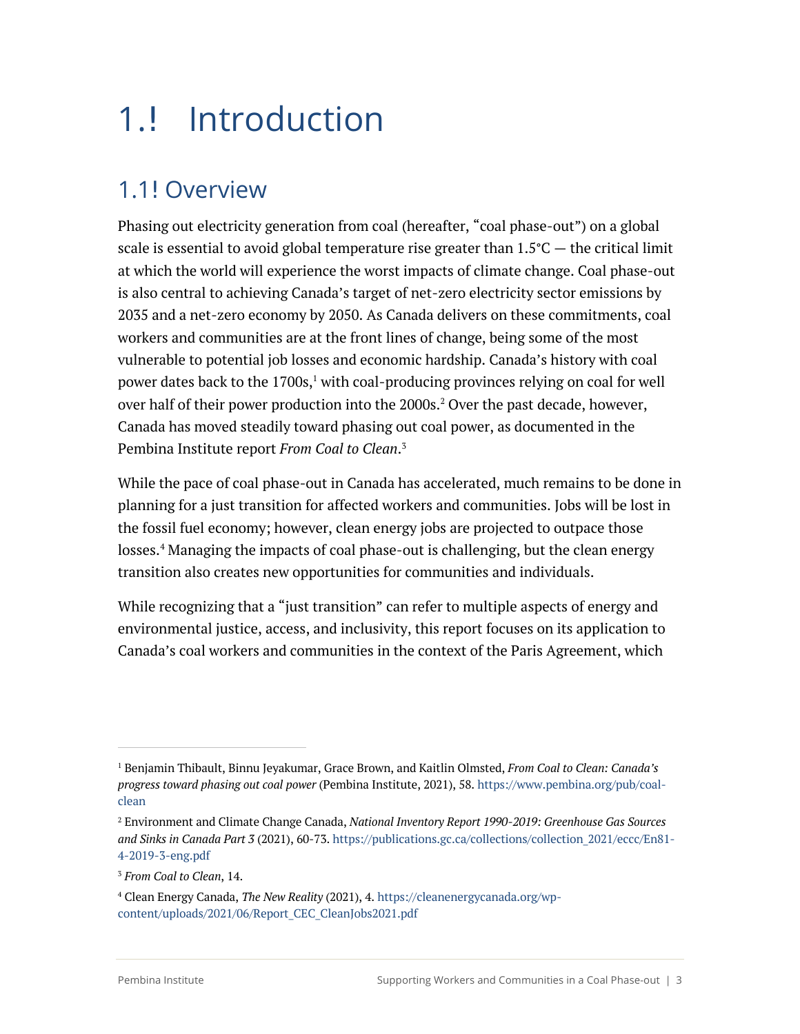# 1.! Introduction

# 1.1! Overview

Phasing out electricity generation from coal (hereafter, "coal phase-out") on a global scale is essential to avoid global temperature rise greater than  $1.5^{\circ}C$  — the critical limit at which the world will experience the worst impacts of climate change. Coal phase-out is also central to achieving Canada's target of net-zero electricity sector emissions by 2035 and a net-zero economy by 2050. As Canada delivers on these commitments, coal workers and communities are at the front lines of change, being some of the most vulnerable to potential job losses and economic hardship. Canada's history with coal power dates back to the  $1700s<sup>1</sup>$  with coal-producing provinces relying on coal for well over half of their power production into the  $2000s<sup>2</sup>$  Over the past decade, however, Canada has moved steadily toward phasing out coal power, as documented in the Pembina Institute report *From Coal to Clean*. 3

While the pace of coal phase-out in Canada has accelerated, much remains to be done in planning for a just transition for affected workers and communities. Jobs will be lost in the fossil fuel economy; however, clean energy jobs are projected to outpace those losses.<sup>4</sup> Managing the impacts of coal phase-out is challenging, but the clean energy transition also creates new opportunities for communities and individuals.

While recognizing that a "just transition" can refer to multiple aspects of energy and environmental justice, access, and inclusivity, this report focuses on its application to Canada's coal workers and communities in the context of the Paris Agreement, which

<sup>1</sup> Benjamin Thibault, Binnu Jeyakumar, Grace Brown, and Kaitlin Olmsted, *From Coal to Clean: Canada's progress toward phasing out coal power* (Pembina Institute, 2021), 58. https://www.pembina.org/pub/coalclean

<sup>2</sup> Environment and Climate Change Canada, *National Inventory Report 1990-2019: Greenhouse Gas Sources and Sinks in Canada Part 3* (2021), 60-73. https://publications.gc.ca/collections/collection\_2021/eccc/En81- 4-2019-3-eng.pdf

<sup>3</sup> *From Coal to Clean*, 14.

<sup>4</sup> Clean Energy Canada, *The New Reality* (2021), 4. https://cleanenergycanada.org/wpcontent/uploads/2021/06/Report\_CEC\_CleanJobs2021.pdf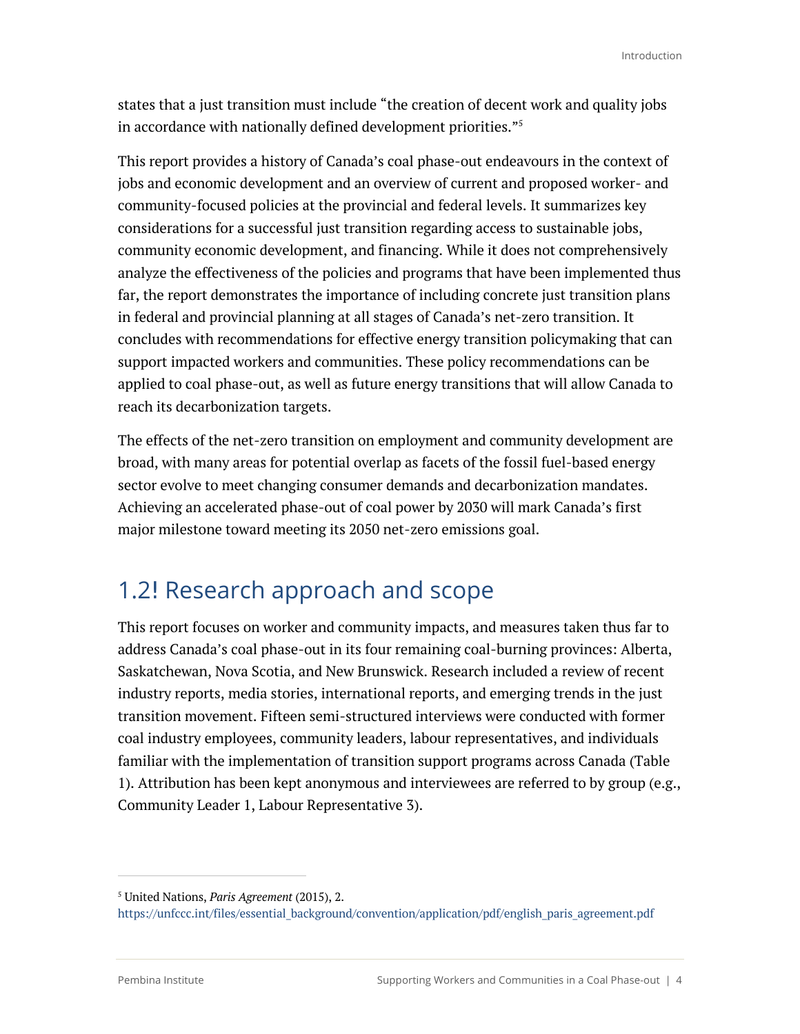states that a just transition must include "the creation of decent work and quality jobs in accordance with nationally defined development priorities."5

This report provides a history of Canada's coal phase-out endeavours in the context of jobs and economic development and an overview of current and proposed worker- and community-focused policies at the provincial and federal levels. It summarizes key considerations for a successful just transition regarding access to sustainable jobs, community economic development, and financing. While it does not comprehensively analyze the effectiveness of the policies and programs that have been implemented thus far, the report demonstrates the importance of including concrete just transition plans in federal and provincial planning at all stages of Canada's net-zero transition. It concludes with recommendations for effective energy transition policymaking that can support impacted workers and communities. These policy recommendations can be applied to coal phase-out, as well as future energy transitions that will allow Canada to reach its decarbonization targets.

The effects of the net-zero transition on employment and community development are broad, with many areas for potential overlap as facets of the fossil fuel-based energy sector evolve to meet changing consumer demands and decarbonization mandates. Achieving an accelerated phase-out of coal power by 2030 will mark Canada's first major milestone toward meeting its 2050 net-zero emissions goal.

### 1.2! Research approach and scope

This report focuses on worker and community impacts, and measures taken thus far to address Canada's coal phase-out in its four remaining coal-burning provinces: Alberta, Saskatchewan, Nova Scotia, and New Brunswick. Research included a review of recent industry reports, media stories, international reports, and emerging trends in the just transition movement. Fifteen semi-structured interviews were conducted with former coal industry employees, community leaders, labour representatives, and individuals familiar with the implementation of transition support programs across Canada (Table 1). Attribution has been kept anonymous and interviewees are referred to by group (e.g., Community Leader 1, Labour Representative 3).

<sup>5</sup> United Nations, *Paris Agreement* (2015), 2.

https://unfccc.int/files/essential\_background/convention/application/pdf/english\_paris\_agreement.pdf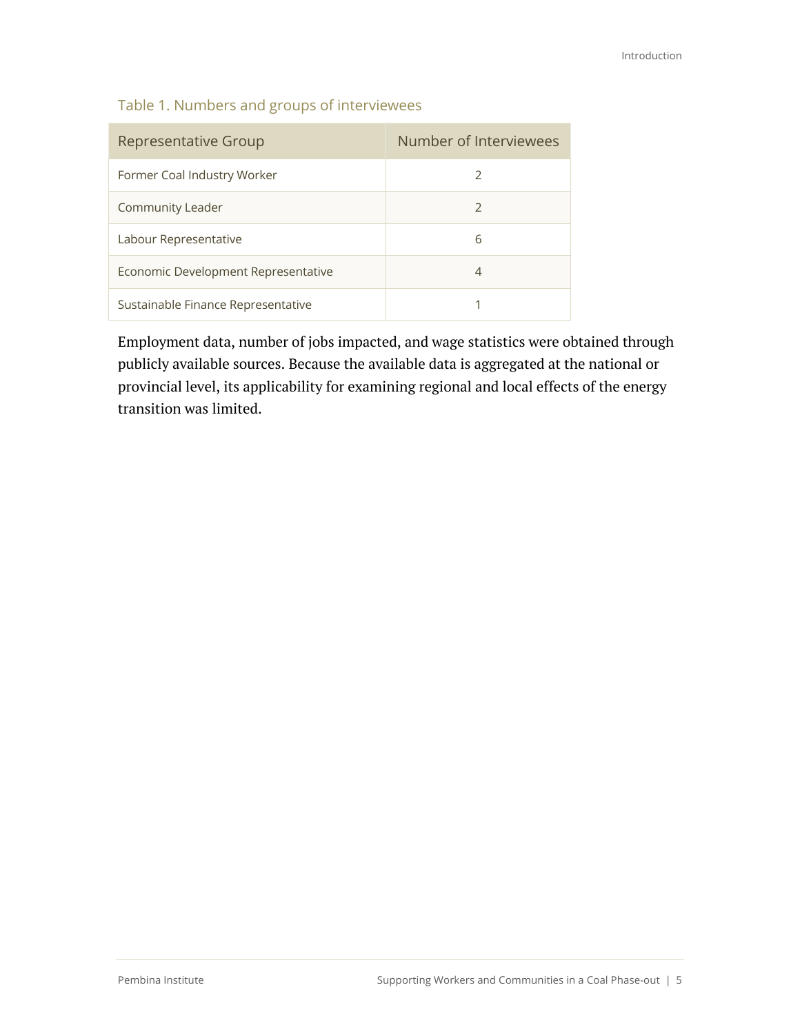| Representative Group                | Number of Interviewees |
|-------------------------------------|------------------------|
| Former Coal Industry Worker         | $\mathcal{L}$          |
| Community Leader                    | $\mathcal{L}$          |
| Labour Representative               | 6                      |
| Economic Development Representative | 4                      |
| Sustainable Finance Representative  |                        |

Employment data, number of jobs impacted, and wage statistics were obtained through publicly available sources. Because the available data is aggregated at the national or provincial level, its applicability for examining regional and local effects of the energy transition was limited.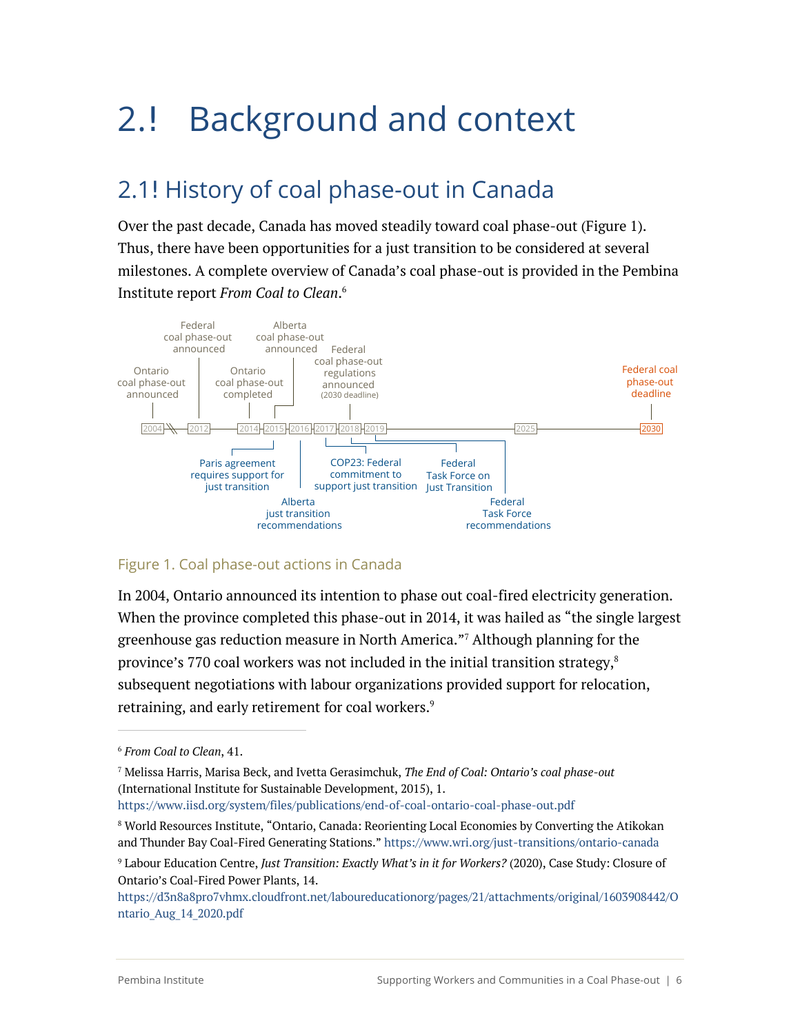# 2.! Background and context

# 2.1! History of coal phase-out in Canada

Over the past decade, Canada has moved steadily toward coal phase-out (Figure 1). Thus, there have been opportunities for a just transition to be considered at several milestones. A complete overview of Canada's coal phase-out is provided in the Pembina Institute report *From Coal to Clean*. 6



#### Figure 1. Coal phase-out actions in Canada

In 2004, Ontario announced its intention to phase out coal-fired electricity generation. When the province completed this phase-out in 2014, it was hailed as "the single largest greenhouse gas reduction measure in North America."7 Although planning for the province's 770 coal workers was not included in the initial transition strategy, $^{\mathrm{s}}$ subsequent negotiations with labour organizations provided support for relocation, retraining, and early retirement for coal workers.<sup>9</sup>

https://www.iisd.org/system/files/publications/end-of-coal-ontario-coal-phase-out.pdf

<sup>6</sup> *From Coal to Clean*, 41.

<sup>7</sup> Melissa Harris, Marisa Beck, and Ivetta Gerasimchuk, *The End of Coal: Ontario's coal phase-out* (International Institute for Sustainable Development, 2015), 1.

<sup>8</sup> World Resources Institute, "Ontario, Canada: Reorienting Local Economies by Converting the Atikokan and Thunder Bay Coal-Fired Generating Stations." https://www.wri.org/just-transitions/ontario-canada

<sup>9</sup> Labour Education Centre, *Just Transition: Exactly What's in it for Workers?* (2020), Case Study: Closure of Ontario's Coal-Fired Power Plants, 14.

https://d3n8a8pro7vhmx.cloudfront.net/laboureducationorg/pages/21/attachments/original/1603908442/O ntario\_Aug\_14\_2020.pdf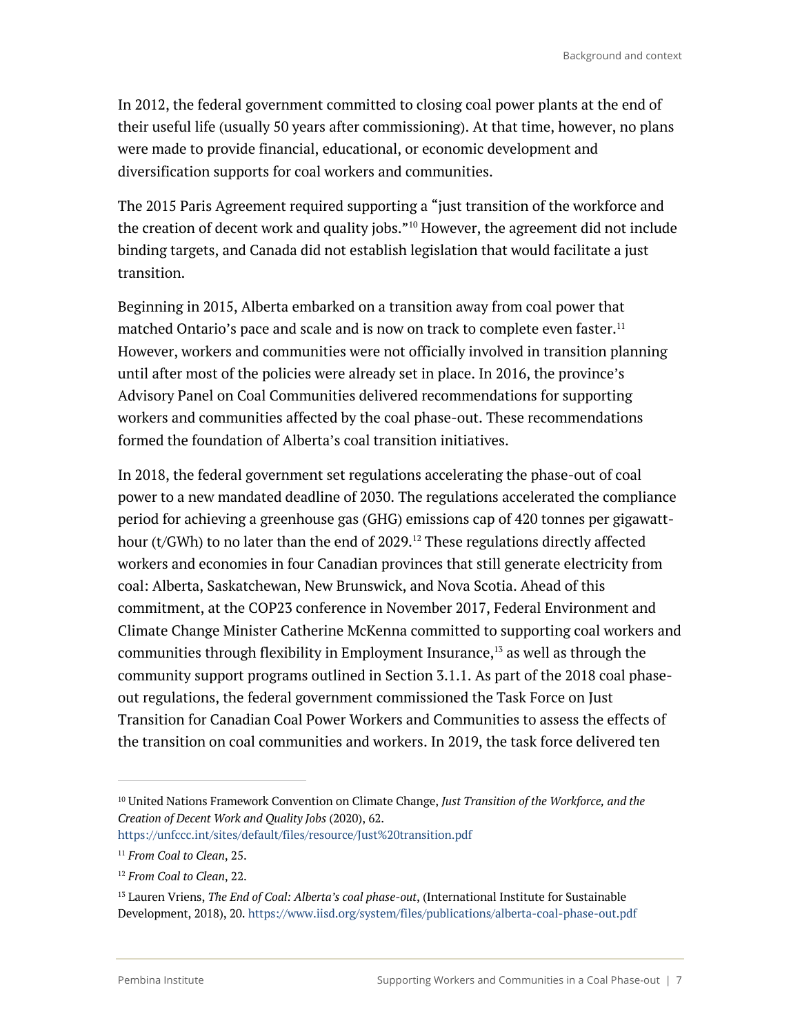In 2012, the federal government committed to closing coal power plants at the end of their useful life (usually 50 years after commissioning). At that time, however, no plans were made to provide financial, educational, or economic development and diversification supports for coal workers and communities.

The 2015 Paris Agreement required supporting a "just transition of the workforce and the creation of decent work and quality jobs."<sup>10</sup> However, the agreement did not include binding targets, and Canada did not establish legislation that would facilitate a just transition.

Beginning in 2015, Alberta embarked on a transition away from coal power that matched Ontario's pace and scale and is now on track to complete even faster. $^{\rm 11}$ However, workers and communities were not officially involved in transition planning until after most of the policies were already set in place. In 2016, the province's Advisory Panel on Coal Communities delivered recommendations for supporting workers and communities affected by the coal phase-out. These recommendations formed the foundation of Alberta's coal transition initiatives.

In 2018, the federal government set regulations accelerating the phase-out of coal power to a new mandated deadline of 2030. The regulations accelerated the compliance period for achieving a greenhouse gas (GHG) emissions cap of 420 tonnes per gigawatthour (t/GWh) to no later than the end of  $2029$ .<sup>12</sup> These regulations directly affected workers and economies in four Canadian provinces that still generate electricity from coal: Alberta, Saskatchewan, New Brunswick, and Nova Scotia. Ahead of this commitment, at the COP23 conference in November 2017, Federal Environment and Climate Change Minister Catherine McKenna committed to supporting coal workers and communities through flexibility in Employment Insurance, <sup>13</sup> as well as through the community support programs outlined in Section 3.1.1. As part of the 2018 coal phaseout regulations, the federal government commissioned the Task Force on Just Transition for Canadian Coal Power Workers and Communities to assess the effects of the transition on coal communities and workers. In 2019, the task force delivered ten

https://unfccc.int/sites/default/files/resource/Just%20transition.pdf

<sup>10</sup> United Nations Framework Convention on Climate Change, *Just Transition of the Workforce, and the Creation of Decent Work and Quality Jobs* (2020), 62.

<sup>11</sup> *From Coal to Clean*, 25.

<sup>12</sup> *From Coal to Clean*, 22.

<sup>13</sup> Lauren Vriens, *The End of Coal: Alberta's coal phase-out*, (International Institute for Sustainable Development, 2018), 20. https://www.iisd.org/system/files/publications/alberta-coal-phase-out.pdf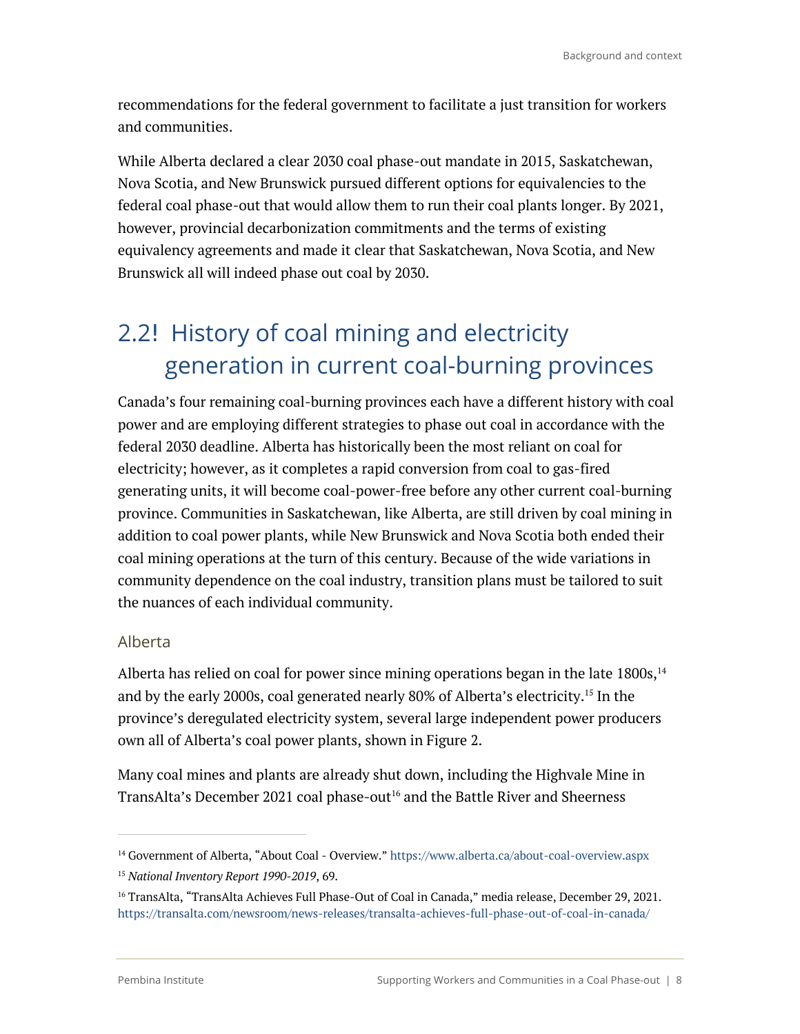recommendations for the federal government to facilitate a just transition for workers and communities.

While Alberta declared a clear 2030 coal phase-out mandate in 2015, Saskatchewan, Nova Scotia, and New Brunswick pursued different options for equivalencies to the federal coal phase-out that would allow them to run their coal plants longer. By 2021, however, provincial decarbonization commitments and the terms of existing equivalency agreements and made it clear that Saskatchewan, Nova Scotia, and New Brunswick all will indeed phase out coal by 2030.

# 2.2! History of coal mining and electricity generation in current coal-burning provinces

Canada's four remaining coal-burning provinces each have a different history with coal power and are employing different strategies to phase out coal in accordance with the federal 2030 deadline. Alberta has historically been the most reliant on coal for electricity; however, as it completes a rapid conversion from coal to gas-fired generating units, it will become coal-power-free before any other current coal-burning province. Communities in Saskatchewan, like Alberta, are still driven by coal mining in addition to coal power plants, while New Brunswick and Nova Scotia both ended their coal mining operations at the turn of this century. Because of the wide variations in community dependence on the coal industry, transition plans must be tailored to suit the nuances of each individual community.

### Alberta

Alberta has relied on coal for power since mining operations began in the late  $1800s$ ,  $^{14}$ and by the early 2000s, coal generated nearly 80% of Alberta's electricity. <sup>15</sup> In the province's deregulated electricity system, several large independent power producers own all of Alberta's coal power plants, shown in Figure 2.

Many coal mines and plants are already shut down, including the Highvale Mine in TransAlta's December 2021 coal phase-out<sup>16</sup> and the Battle River and Sheerness

<sup>&</sup>lt;sup>14</sup> Government of Alberta, "About Coal - Overview." https://www.alberta.ca/about-coal-overview.aspx

<sup>15</sup> *National Inventory Report 1990-2019*, 69.

<sup>&</sup>lt;sup>16</sup> TransAlta, "TransAlta Achieves Full Phase-Out of Coal in Canada," media release, December 29, 2021. https://transalta.com/newsroom/news-releases/transalta-achieves-full-phase-out-of-coal-in-canada/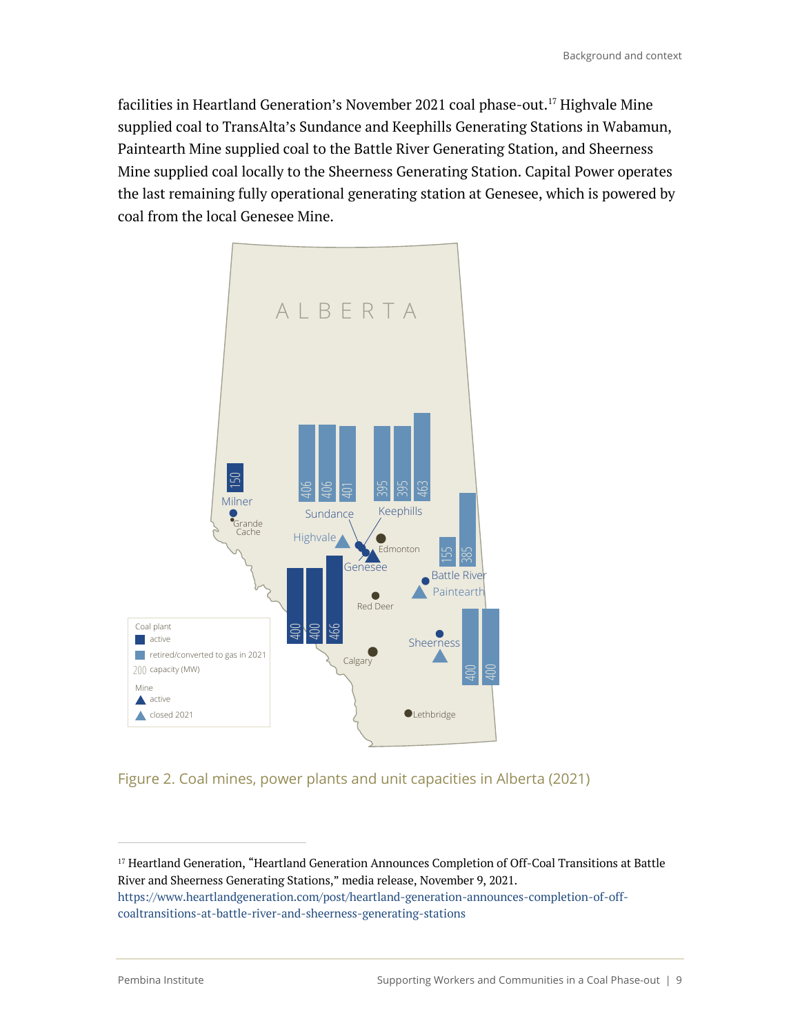facilities in Heartland Generation's November 2021 coal phase-out. <sup>17</sup> Highvale Mine supplied coal to TransAlta's Sundance and Keephills Generating Stations in Wabamun, Paintearth Mine supplied coal to the Battle River Generating Station, and Sheerness Mine supplied coal locally to the Sheerness Generating Station. Capital Power operates the last remaining fully operational generating station at Genesee, which is powered by coal from the local Genesee Mine.



Figure 2. Coal mines, power plants and unit capacities in Alberta (2021)

<sup>&</sup>lt;sup>17</sup> Heartland Generation, "Heartland Generation Announces Completion of Off-Coal Transitions at Battle River and Sheerness Generating Stations," media release, November 9, 2021. https://www.heartlandgeneration.com/post/heartland-generation-announces-completion-of-offcoaltransitions-at-battle-river-and-sheerness-generating-stations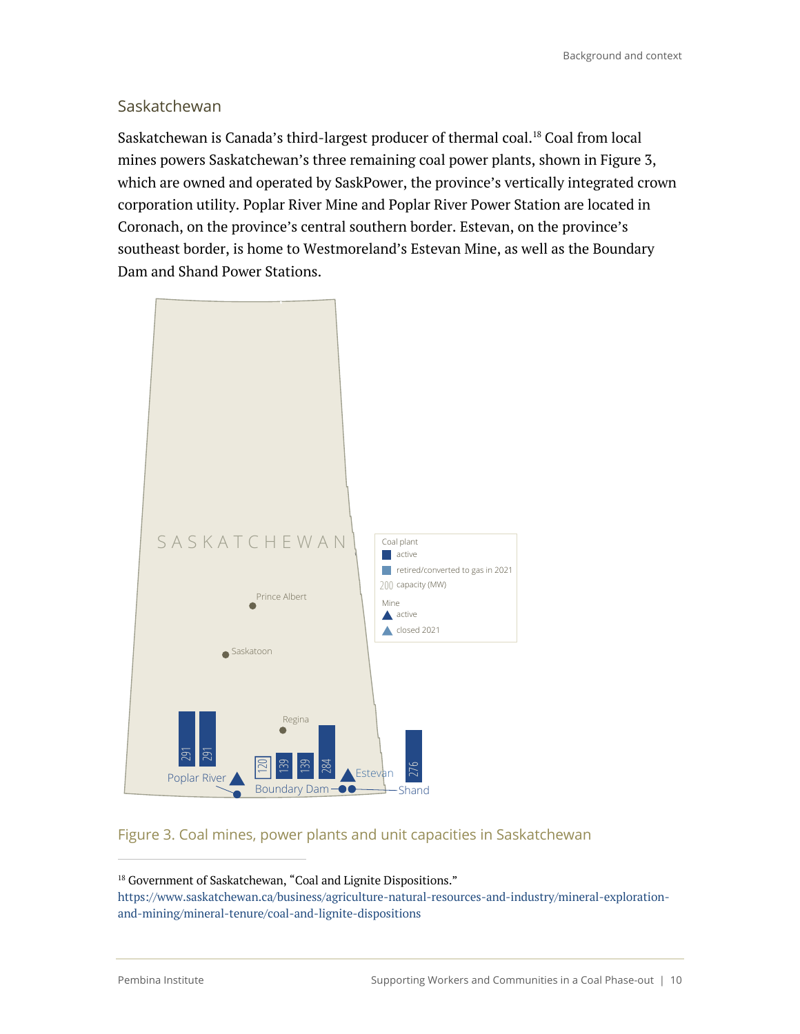### **Saskatchewan**

Saskatchewan is Canada's third-largest producer of thermal coal.<sup>18</sup> Coal from local mines powers Saskatchewan's three remaining coal power plants, shown in Figure 3, which are owned and operated by SaskPower, the province's vertically integrated crown corporation utility. Poplar River Mine and Poplar River Power Station are located in Coronach, on the province's central southern border. Estevan, on the province's southeast border, is home to Westmoreland's Estevan Mine, as well as the Boundary Dam and Shand Power Stations.



### Figure 3. Coal mines, power plants and unit capacities in Saskatchewan

<sup>18</sup> Government of Saskatchewan, "Coal and Lignite Dispositions." https://www.saskatchewan.ca/business/agriculture-natural-resources-and-industry/mineral-explorationand-mining/mineral-tenure/coal-and-lignite-dispositions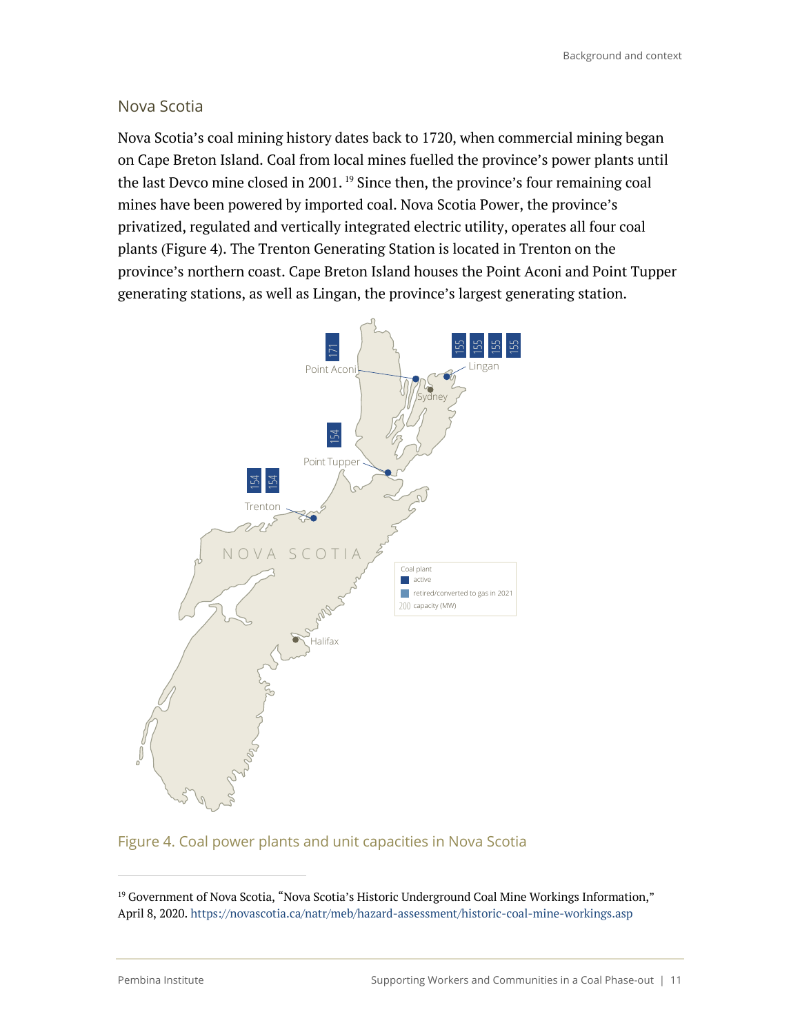### Nova Scotia

Nova Scotia's coal mining history dates back to 1720, when commercial mining began on Cape Breton Island. Coal from local mines fuelled the province's power plants until the last Devco mine closed in 2001.<sup>19</sup> Since then, the province's four remaining coal mines have been powered by imported coal. Nova Scotia Power, the province's privatized, regulated and vertically integrated electric utility, operates all four coal plants (Figure 4). The Trenton Generating Station is located in Trenton on the province's northern coast. Cape Breton Island houses the Point Aconi and Point Tupper generating stations, as well as Lingan, the province's largest generating station.



#### Figure 4. Coal power plants and unit capacities in Nova Scotia

<sup>&</sup>lt;sup>19</sup> Government of Nova Scotia, "Nova Scotia's Historic Underground Coal Mine Workings Information," April 8, 2020. https://novascotia.ca/natr/meb/hazard-assessment/historic-coal-mine-workings.asp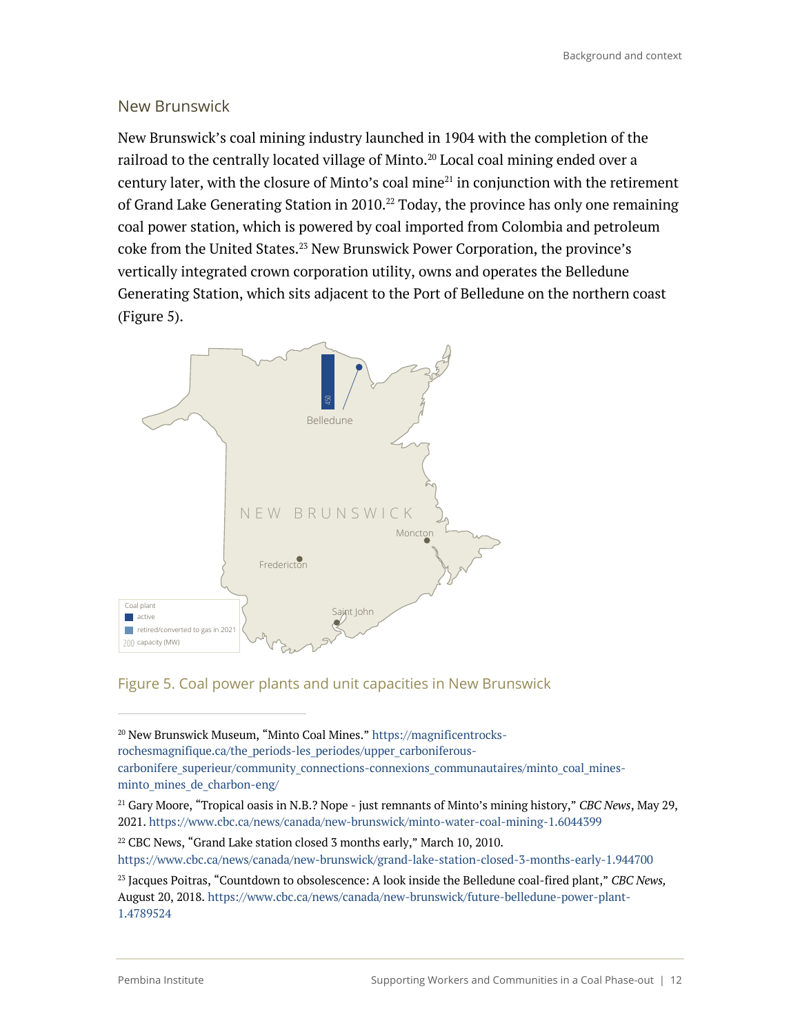### New Brunswick

New Brunswick's coal mining industry launched in 1904 with the completion of the railroad to the centrally located village of Minto.<sup>20</sup> Local coal mining ended over a century later, with the closure of Minto's coal mine $^{21}$  in conjunction with the retirement of Grand Lake Generating Station in 2010.<sup>22</sup> Today, the province has only one remaining coal power station, which is powered by coal imported from Colombia and petroleum coke from the United States. <sup>23</sup> New Brunswick Power Corporation, the province's vertically integrated crown corporation utility, owns and operates the Belledune Generating Station, which sits adjacent to the Port of Belledune on the northern coast (Figure 5).



### Figure 5. Coal power plants and unit capacities in New Brunswick

<sup>20</sup> New Brunswick Museum, "Minto Coal Mines." https://magnificentrocksrochesmagnifique.ca/the\_periods-les\_periodes/upper\_carboniferouscarbonifere\_superieur/community\_connections-connexions\_communautaires/minto\_coal\_mines-

minto mines de charbon-eng/

<sup>21</sup> Gary Moore, "Tropical oasis in N.B.? Nope - just remnants of Minto's mining history," *CBC News*, May 29, 2021. https://www.cbc.ca/news/canada/new-brunswick/minto-water-coal-mining-1.6044399

<sup>&</sup>lt;sup>22</sup> CBC News, "Grand Lake station closed 3 months early," March 10, 2010.

https://www.cbc.ca/news/canada/new-brunswick/grand-lake-station-closed-3-months-early-1.944700

<sup>23</sup> Jacques Poitras, "Countdown to obsolescence: A look inside the Belledune coal-fired plant," *CBC News,* August 20, 2018. https://www.cbc.ca/news/canada/new-brunswick/future-belledune-power-plant-1.4789524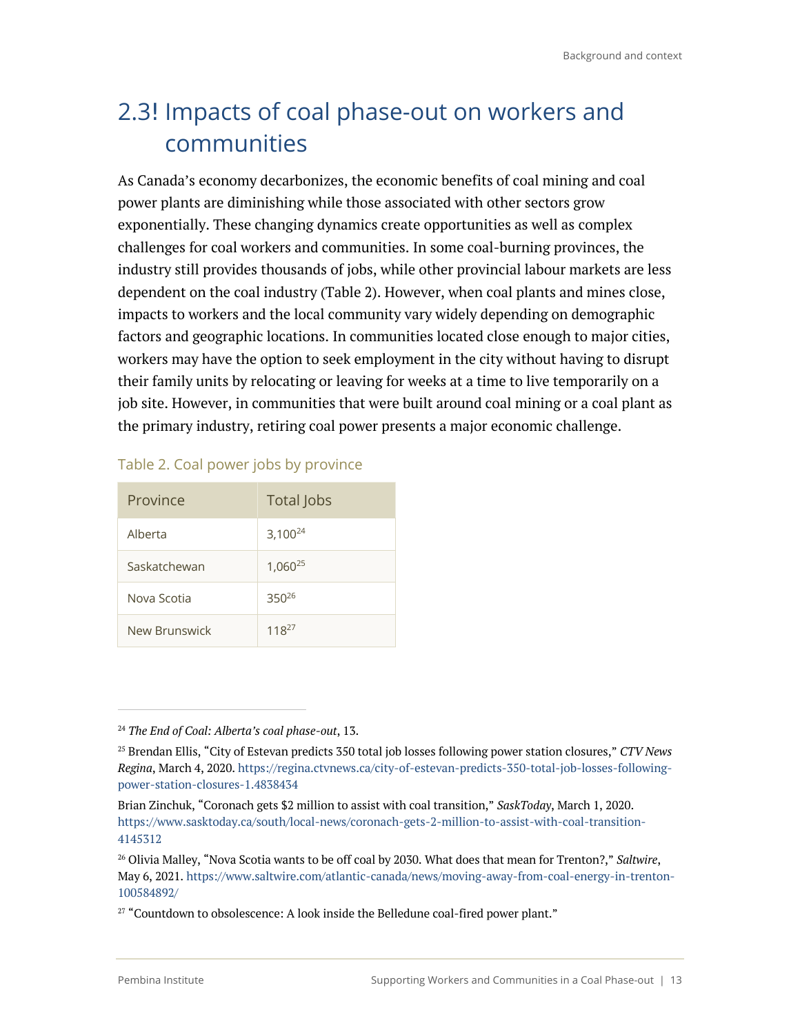# 2.3! Impacts of coal phase-out on workers and communities

As Canada's economy decarbonizes, the economic benefits of coal mining and coal power plants are diminishing while those associated with other sectors grow exponentially. These changing dynamics create opportunities as well as complex challenges for coal workers and communities. In some coal-burning provinces, the industry still provides thousands of jobs, while other provincial labour markets are less dependent on the coal industry (Table 2). However, when coal plants and mines close, impacts to workers and the local community vary widely depending on demographic factors and geographic locations. In communities located close enough to major cities, workers may have the option to seek employment in the city without having to disrupt their family units by relocating or leaving for weeks at a time to live temporarily on a job site. However, in communities that were built around coal mining or a coal plant as the primary industry, retiring coal power presents a major economic challenge.

| Province      | <b>Total Jobs</b>   |  |
|---------------|---------------------|--|
| Alberta       | $3,100^{24}$        |  |
| Saskatchewan  | 1,060 <sup>25</sup> |  |
| Nova Scotia   | $350^{26}$          |  |
| New Brunswick | $118^{27}$          |  |

### Table 2. Coal power jobs by province

<sup>24</sup> *The End of Coal: Alberta's coal phase-out*, 13.

<sup>25</sup> Brendan Ellis, "City of Estevan predicts 350 total job losses following power station closures," *CTV News Regina*, March 4, 2020. https://regina.ctvnews.ca/city-of-estevan-predicts-350-total-job-losses-followingpower-station-closures-1.4838434

Brian Zinchuk, "Coronach gets \$2 million to assist with coal transition," *SaskToday*, March 1, 2020. https://www.sasktoday.ca/south/local-news/coronach-gets-2-million-to-assist-with-coal-transition-4145312

<sup>26</sup> Olivia Malley, "Nova Scotia wants to be off coal by 2030. What does that mean for Trenton?," *Saltwire*, May 6, 2021. https://www.saltwire.com/atlantic-canada/news/moving-away-from-coal-energy-in-trenton-100584892/

 $27$  "Countdown to obsolescence: A look inside the Belledune coal-fired power plant."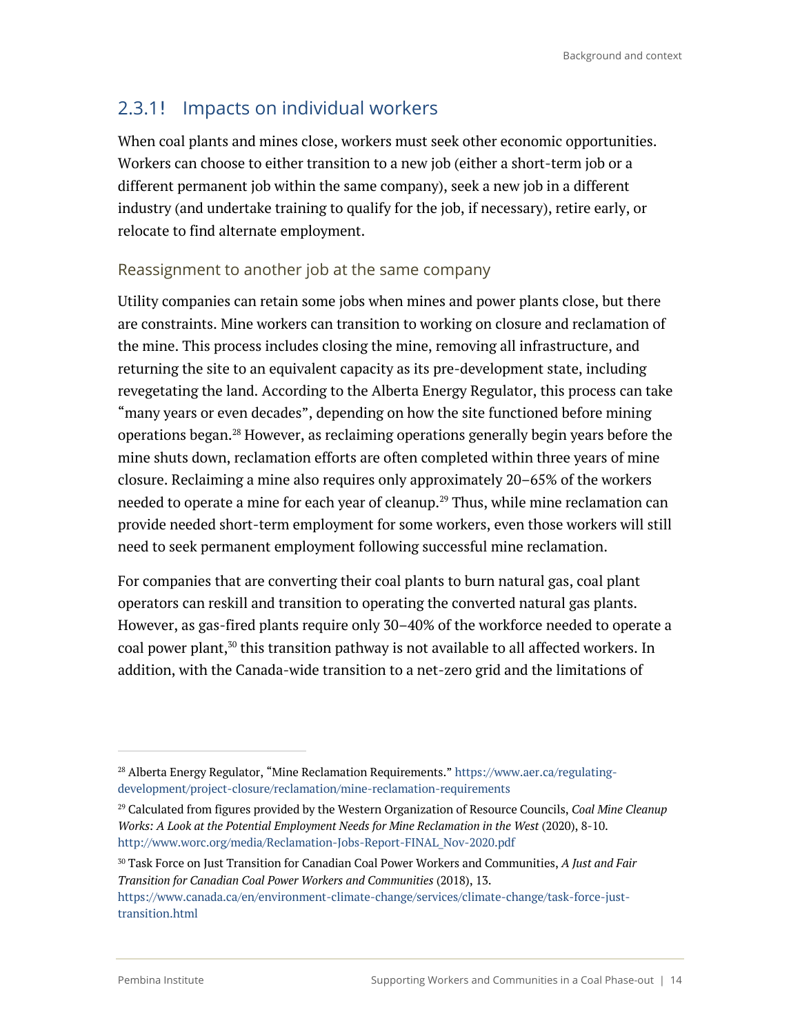### 2.3.1! Impacts on individual workers

When coal plants and mines close, workers must seek other economic opportunities. Workers can choose to either transition to a new job (either a short-term job or a different permanent job within the same company), seek a new job in a different industry (and undertake training to qualify for the job, if necessary), retire early, or relocate to find alternate employment.

### Reassignment to another job at the same company

Utility companies can retain some jobs when mines and power plants close, but there are constraints. Mine workers can transition to working on closure and reclamation of the mine. This process includes closing the mine, removing all infrastructure, and returning the site to an equivalent capacity as its pre-development state, including revegetating the land. According to the Alberta Energy Regulator, this process can take "many years or even decades", depending on how the site functioned before mining operations began. <sup>28</sup> However, as reclaiming operations generally begin years before the mine shuts down, reclamation efforts are often completed within three years of mine closure. Reclaiming a mine also requires only approximately 20–65% of the workers needed to operate a mine for each year of cleanup.<sup>29</sup> Thus, while mine reclamation can provide needed short-term employment for some workers, even those workers will still need to seek permanent employment following successful mine reclamation.

For companies that are converting their coal plants to burn natural gas, coal plant operators can reskill and transition to operating the converted natural gas plants. However, as gas-fired plants require only 30–40% of the workforce needed to operate a coal power plant,<sup>30</sup> this transition pathway is not available to all affected workers. In addition, with the Canada-wide transition to a net-zero grid and the limitations of

<sup>&</sup>lt;sup>28</sup> Alberta Energy Regulator, "Mine Reclamation Requirements." https://www.aer.ca/regulatingdevelopment/project-closure/reclamation/mine-reclamation-requirements

<sup>29</sup> Calculated from figures provided by the Western Organization of Resource Councils, *Coal Mine Cleanup Works: A Look at the Potential Employment Needs for Mine Reclamation in the West* (2020), 8-10. http://www.worc.org/media/Reclamation-Jobs-Report-FINAL\_Nov-2020.pdf

<sup>30</sup> Task Force on Just Transition for Canadian Coal Power Workers and Communities, *A Just and Fair Transition for Canadian Coal Power Workers and Communities* (2018), 13. https://www.canada.ca/en/environment-climate-change/services/climate-change/task-force-justtransition.html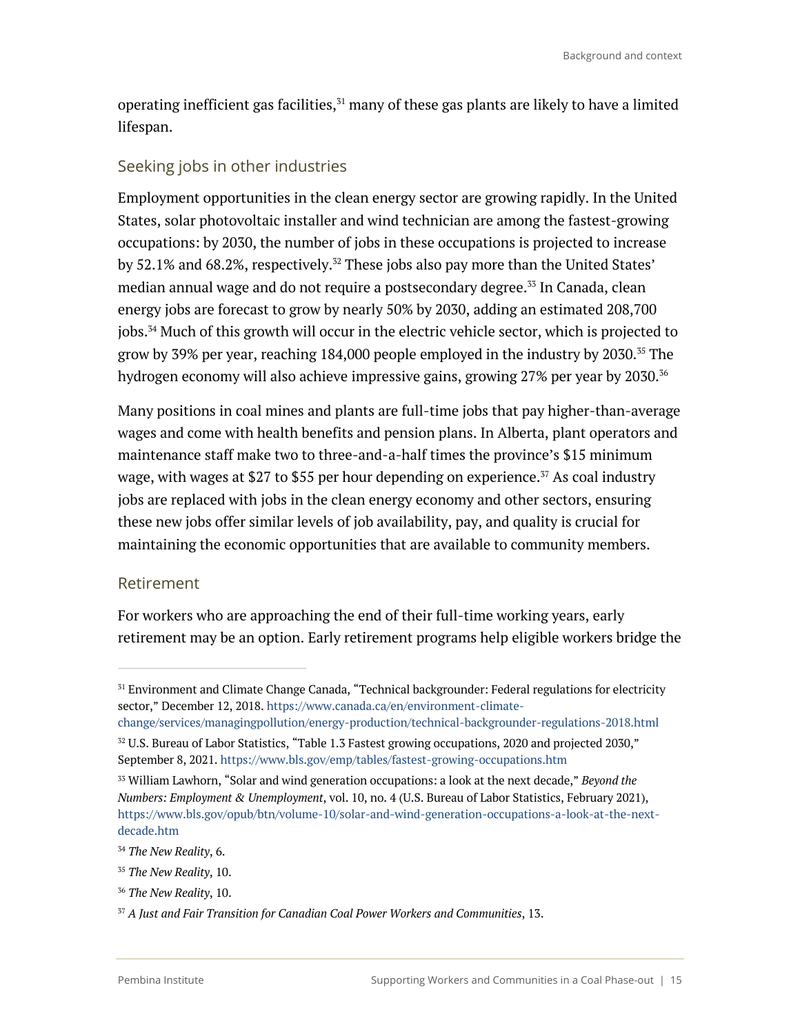operating inefficient gas facilities,<sup>31</sup> many of these gas plants are likely to have a limited lifespan.

### Seeking jobs in other industries

Employment opportunities in the clean energy sector are growing rapidly. In the United States, solar photovoltaic installer and wind technician are among the fastest-growing occupations: by 2030, the number of jobs in these occupations is projected to increase by 52.1% and 68.2%, respectively. $^{32}$  These jobs also pay more than the United States' median annual wage and do not require a postsecondary degree.<sup>33</sup> In Canada, clean energy jobs are forecast to grow by nearly 50% by 2030, adding an estimated 208,700 jobs. <sup>34</sup> Much of this growth will occur in the electric vehicle sector, which is projected to grow by 39% per year, reaching 184,000 people employed in the industry by 2030.35 The hydrogen economy will also achieve impressive gains, growing 27% per year by 2030.<sup>36</sup>

Many positions in coal mines and plants are full-time jobs that pay higher-than-average wages and come with health benefits and pension plans. In Alberta, plant operators and maintenance staff make two to three-and-a-half times the province's \$15 minimum wage, with wages at \$27 to \$55 per hour depending on experience.<sup>37</sup> As coal industry jobs are replaced with jobs in the clean energy economy and other sectors, ensuring these new jobs offer similar levels of job availability, pay, and quality is crucial for maintaining the economic opportunities that are available to community members.

### Retirement

For workers who are approaching the end of their full-time working years, early retirement may be an option. Early retirement programs help eligible workers bridge the

<sup>&</sup>lt;sup>31</sup> Environment and Climate Change Canada, "Technical backgrounder: Federal regulations for electricity sector," December 12, 2018. https://www.canada.ca/en/environment-climate-

change/services/managingpollution/energy-production/technical-backgrounder-regulations-2018.html  $32$  U.S. Bureau of Labor Statistics, "Table 1.3 Fastest growing occupations, 2020 and projected 2030,"

September 8, 2021. https://www.bls.gov/emp/tables/fastest-growing-occupations.htm

<sup>33</sup> William Lawhorn, "Solar and wind generation occupations: a look at the next decade," *Beyond the Numbers: Employment & Unemployment*, vol. 10, no. 4 (U.S. Bureau of Labor Statistics, February 2021), https://www.bls.gov/opub/btn/volume-10/solar-and-wind-generation-occupations-a-look-at-the-nextdecade.htm

<sup>34</sup> *The New Reality*, 6.

<sup>35</sup> *The New Reality*, 10.

<sup>36</sup> *The New Reality*, 10.

<sup>37</sup> *A Just and Fair Transition for Canadian Coal Power Workers and Communities*, 13.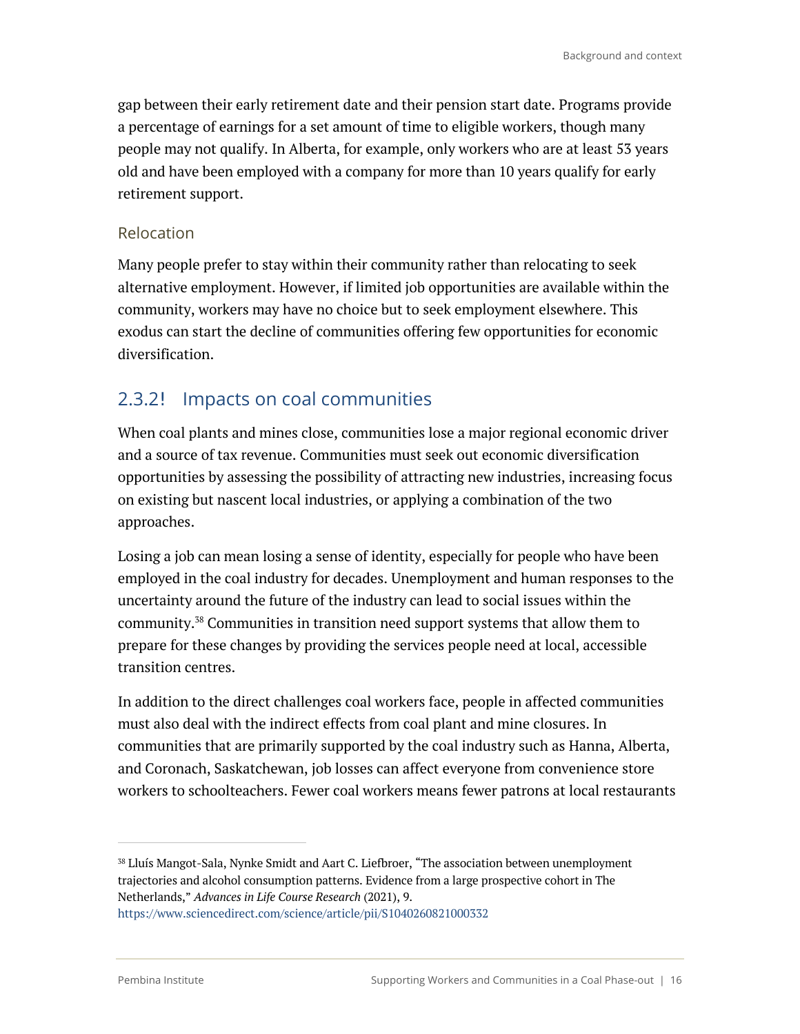gap between their early retirement date and their pension start date. Programs provide a percentage of earnings for a set amount of time to eligible workers, though many people may not qualify. In Alberta, for example, only workers who are at least 53 years old and have been employed with a company for more than 10 years qualify for early retirement support.

### Relocation

Many people prefer to stay within their community rather than relocating to seek alternative employment. However, if limited job opportunities are available within the community, workers may have no choice but to seek employment elsewhere. This exodus can start the decline of communities offering few opportunities for economic diversification.

### 2.3.2! Impacts on coal communities

When coal plants and mines close, communities lose a major regional economic driver and a source of tax revenue. Communities must seek out economic diversification opportunities by assessing the possibility of attracting new industries, increasing focus on existing but nascent local industries, or applying a combination of the two approaches.

Losing a job can mean losing a sense of identity, especially for people who have been employed in the coal industry for decades. Unemployment and human responses to the uncertainty around the future of the industry can lead to social issues within the community. <sup>38</sup> Communities in transition need support systems that allow them to prepare for these changes by providing the services people need at local, accessible transition centres.

In addition to the direct challenges coal workers face, people in affected communities must also deal with the indirect effects from coal plant and mine closures. In communities that are primarily supported by the coal industry such as Hanna, Alberta, and Coronach, Saskatchewan, job losses can affect everyone from convenience store workers to schoolteachers. Fewer coal workers means fewer patrons at local restaurants

<sup>38</sup> Lluís Mangot-Sala, Nynke Smidt and Aart C. Liefbroer, "The association between unemployment trajectories and alcohol consumption patterns. Evidence from a large prospective cohort in The Netherlands," *Advances in Life Course Research* (2021), 9.

https://www.sciencedirect.com/science/article/pii/S1040260821000332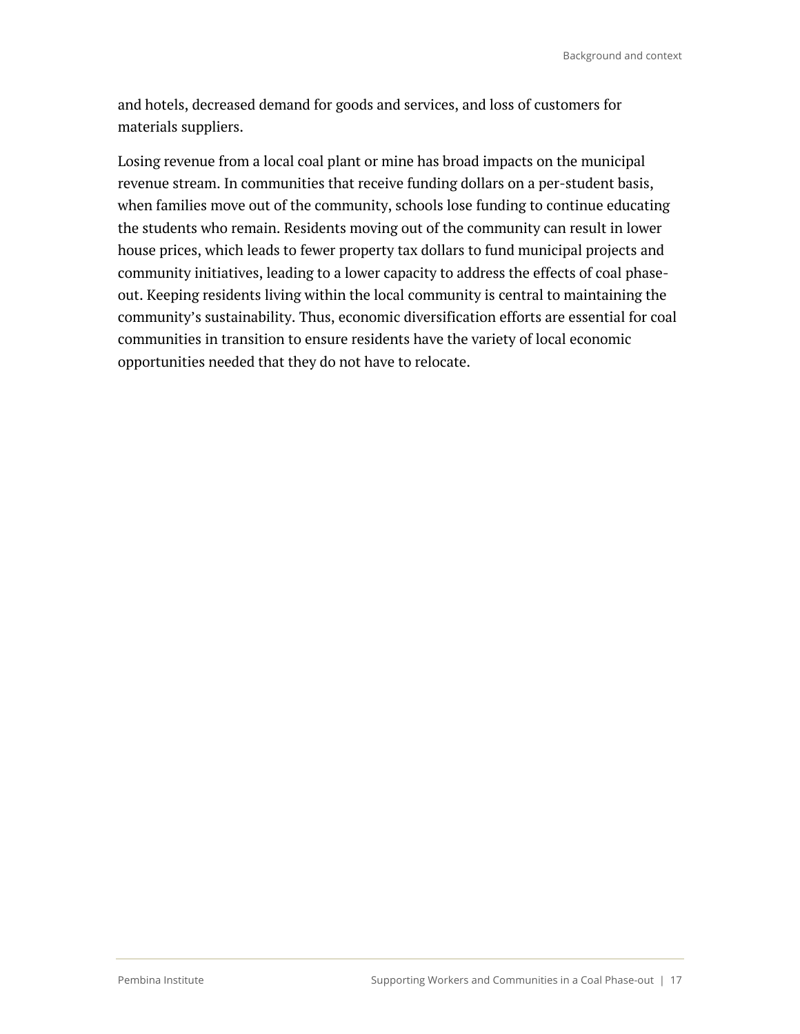and hotels, decreased demand for goods and services, and loss of customers for materials suppliers.

Losing revenue from a local coal plant or mine has broad impacts on the municipal revenue stream. In communities that receive funding dollars on a per-student basis, when families move out of the community, schools lose funding to continue educating the students who remain. Residents moving out of the community can result in lower house prices, which leads to fewer property tax dollars to fund municipal projects and community initiatives, leading to a lower capacity to address the effects of coal phaseout. Keeping residents living within the local community is central to maintaining the community's sustainability. Thus, economic diversification efforts are essential for coal communities in transition to ensure residents have the variety of local economic opportunities needed that they do not have to relocate.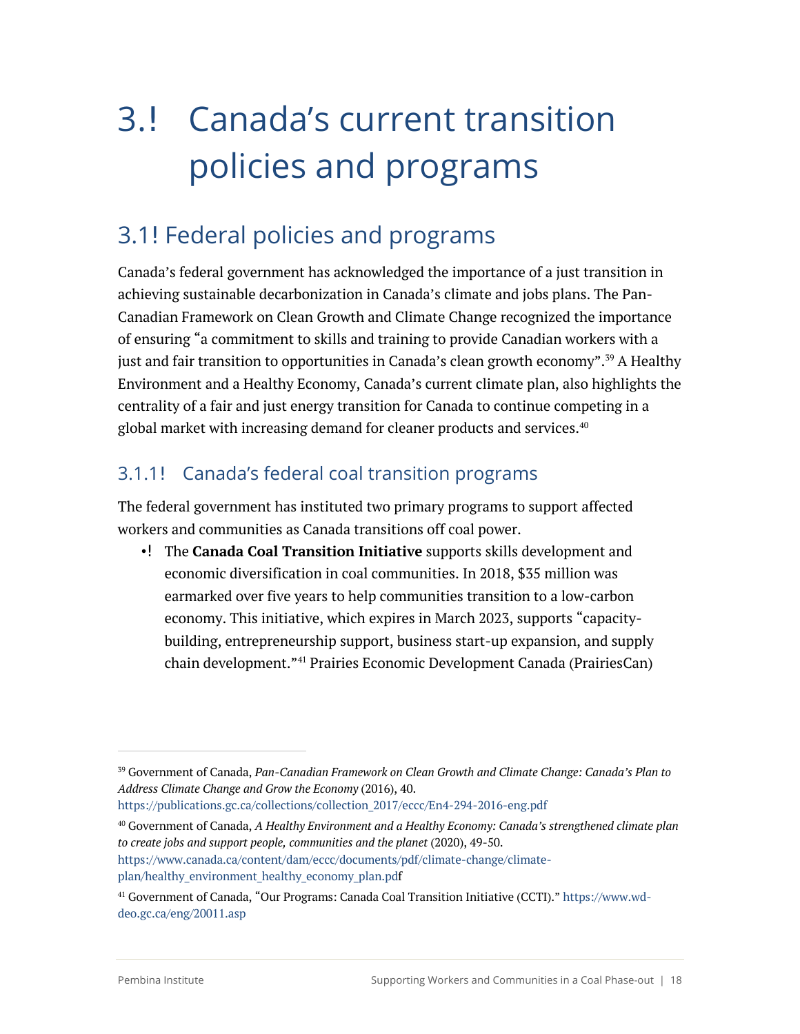# 3.! Canada's current transition policies and programs

# 3.1! Federal policies and programs

Canada's federal government has acknowledged the importance of a just transition in achieving sustainable decarbonization in Canada's climate and jobs plans. The Pan-Canadian Framework on Clean Growth and Climate Change recognized the importance of ensuring "a commitment to skills and training to provide Canadian workers with a just and fair transition to opportunities in Canada's clean growth economy".<sup>39</sup> A Healthy Environment and a Healthy Economy, Canada's current climate plan, also highlights the centrality of a fair and just energy transition for Canada to continue competing in a global market with increasing demand for cleaner products and services.<sup>40</sup>

### 3.1.1 Canada's federal coal transition programs

The federal government has instituted two primary programs to support affected workers and communities as Canada transitions off coal power.

•! The **Canada Coal Transition Initiative** supports skills development and economic diversification in coal communities. In 2018, \$35 million was earmarked over five years to help communities transition to a low-carbon economy. This initiative, which expires in March 2023, supports "capacitybuilding, entrepreneurship support, business start-up expansion, and supply chain development."41 Prairies Economic Development Canada (PrairiesCan)

https://publications.gc.ca/collections/collection\_2017/eccc/En4-294-2016-eng.pdf

<sup>40</sup> Government of Canada, *A Healthy Environment and a Healthy Economy: Canada's strengthened climate plan to create jobs and support people, communities and the planet* (2020), 49-50. https://www.canada.ca/content/dam/eccc/documents/pdf/climate-change/climate-

<sup>39</sup> Government of Canada, *Pan-Canadian Framework on Clean Growth and Climate Change: Canada's Plan to Address Climate Change and Grow the Economy* (2016), 40.

plan/healthy\_environment\_healthy\_economy\_plan.pdf

<sup>41</sup> Government of Canada, "Our Programs: Canada Coal Transition Initiative (CCTI)." https://www.wddeo.gc.ca/eng/20011.asp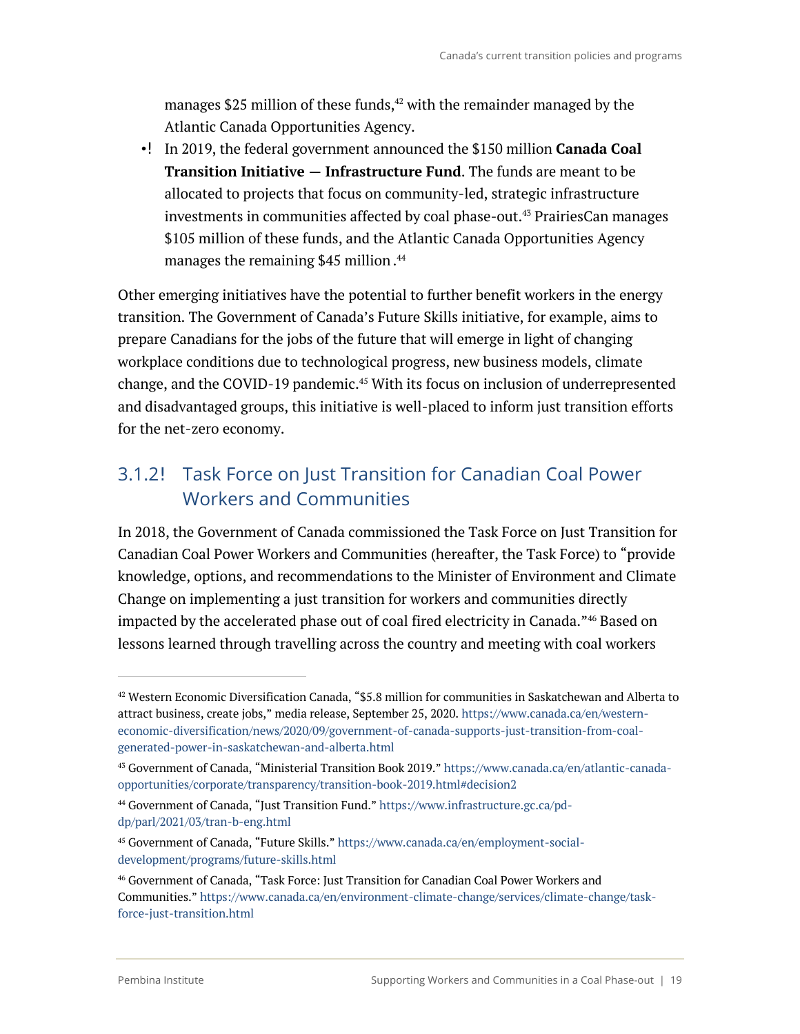manages \$25 million of these funds, <sup>42</sup> with the remainder managed by the Atlantic Canada Opportunities Agency.

• In 2019, the federal government announced the \$150 million **Canada Coal Transition Initiative — Infrastructure Fund**. The funds are meant to be allocated to projects that focus on community-led, strategic infrastructure investments in communities affected by coal phase-out. <sup>43</sup> PrairiesCan manages \$105 million of these funds, and the Atlantic Canada Opportunities Agency manages the remaining \$45 million. 44

Other emerging initiatives have the potential to further benefit workers in the energy transition. The Government of Canada's Future Skills initiative, for example, aims to prepare Canadians for the jobs of the future that will emerge in light of changing workplace conditions due to technological progress, new business models, climate change, and the COVID-19 pandemic. <sup>45</sup> With its focus on inclusion of underrepresented and disadvantaged groups, this initiative is well-placed to inform just transition efforts for the net-zero economy.

### 3.1.2 Task Force on Just Transition for Canadian Coal Power Workers and Communities

In 2018, the Government of Canada commissioned the Task Force on Just Transition for Canadian Coal Power Workers and Communities (hereafter, the Task Force) to "provide knowledge, options, and recommendations to the Minister of Environment and Climate Change on implementing a just transition for workers and communities directly impacted by the accelerated phase out of coal fired electricity in Canada."46 Based on lessons learned through travelling across the country and meeting with coal workers

 $42$  Western Economic Diversification Canada, "\$5.8 million for communities in Saskatchewan and Alberta to attract business, create jobs," media release, September 25, 2020. https://www.canada.ca/en/westerneconomic-diversification/news/2020/09/government-of-canada-supports-just-transition-from-coalgenerated-power-in-saskatchewan-and-alberta.html

<sup>43</sup> Government of Canada, "Ministerial Transition Book 2019." https://www.canada.ca/en/atlantic-canadaopportunities/corporate/transparency/transition-book-2019.html#decision2

<sup>44</sup> Government of Canada, "Just Transition Fund." https://www.infrastructure.gc.ca/pddp/parl/2021/03/tran-b-eng.html

<sup>45</sup> Government of Canada, "Future Skills." https://www.canada.ca/en/employment-socialdevelopment/programs/future-skills.html

<sup>46</sup> Government of Canada, "Task Force: Just Transition for Canadian Coal Power Workers and Communities." https://www.canada.ca/en/environment-climate-change/services/climate-change/taskforce-just-transition.html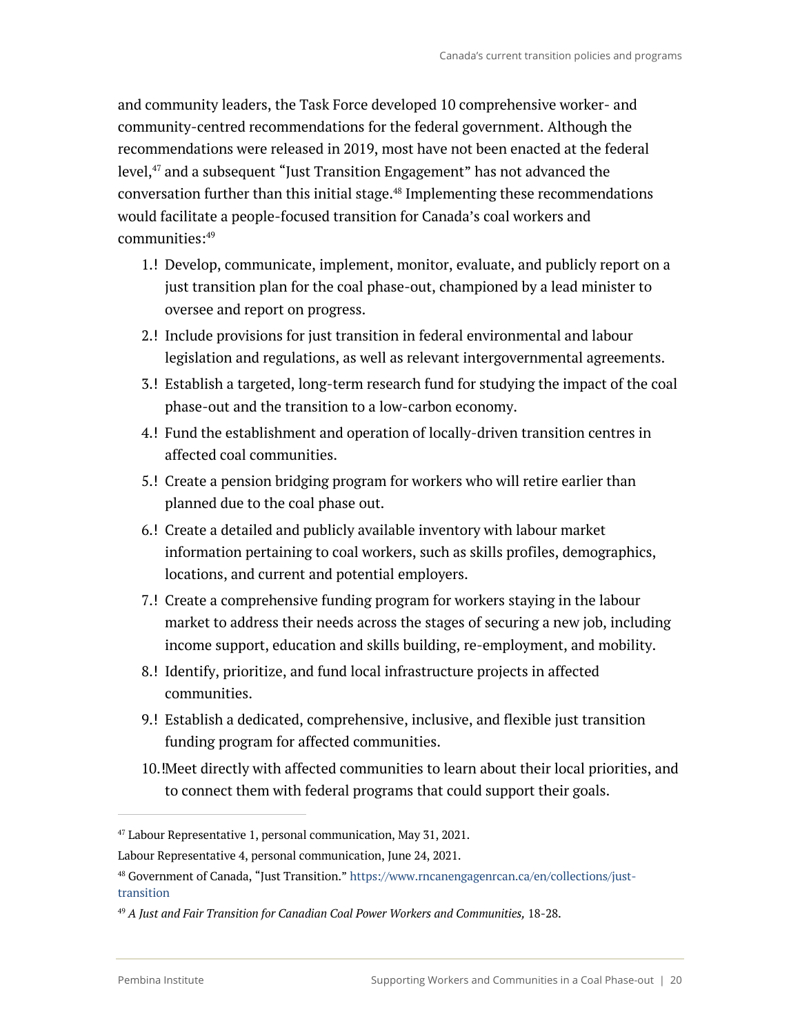and community leaders, the Task Force developed 10 comprehensive worker- and community-centred recommendations for the federal government. Although the recommendations were released in 2019, most have not been enacted at the federal level, <sup>47</sup> and a subsequent "Just Transition Engagement" has not advanced the conversation further than this initial stage. <sup>48</sup> Implementing these recommendations would facilitate a people-focused transition for Canada's coal workers and communities: 49

- 1.! Develop, communicate, implement, monitor, evaluate, and publicly report on a just transition plan for the coal phase-out, championed by a lead minister to oversee and report on progress.
- 2.! Include provisions for just transition in federal environmental and labour legislation and regulations, as well as relevant intergovernmental agreements.
- 3. Establish a targeted, long-term research fund for studying the impact of the coal phase-out and the transition to a low-carbon economy.
- 4. Fund the establishment and operation of locally-driven transition centres in affected coal communities.
- 5. Create a pension bridging program for workers who will retire earlier than planned due to the coal phase out.
- 6. Create a detailed and publicly available inventory with labour market information pertaining to coal workers, such as skills profiles, demographics, locations, and current and potential employers.
- 7. Create a comprehensive funding program for workers staying in the labour market to address their needs across the stages of securing a new job, including income support, education and skills building, re-employment, and mobility.
- 8. I Identify, prioritize, and fund local infrastructure projects in affected communities.
- 9.! Establish a dedicated, comprehensive, inclusive, and flexible just transition funding program for affected communities.
- 10. Meet directly with affected communities to learn about their local priorities, and to connect them with federal programs that could support their goals.

 $47$  Labour Representative 1, personal communication, May 31, 2021.

Labour Representative 4, personal communication, June 24, 2021.

<sup>48</sup> Government of Canada, "Just Transition." https://www.rncanengagenrcan.ca/en/collections/justtransition

<sup>49</sup> *A Just and Fair Transition for Canadian Coal Power Workers and Communities,* 18-28.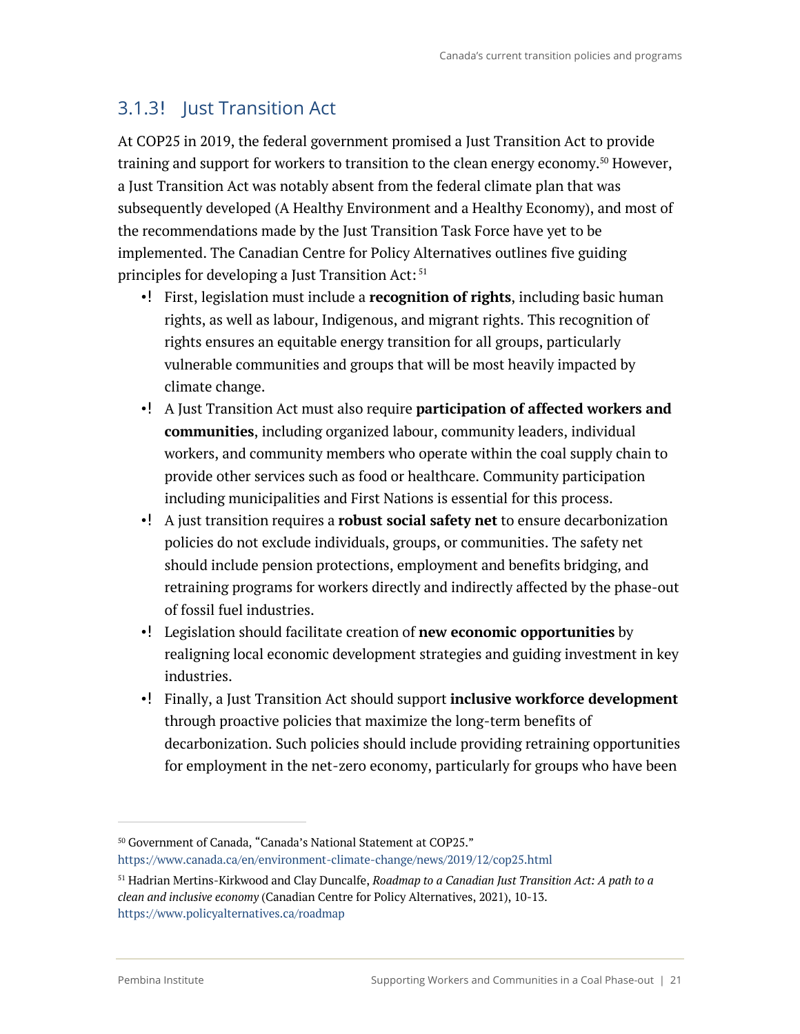### 3.1.3! Just Transition Act

At COP25 in 2019, the federal government promised a Just Transition Act to provide training and support for workers to transition to the clean energy economy.<sup>50</sup> However, a Just Transition Act was notably absent from the federal climate plan that was subsequently developed (A Healthy Environment and a Healthy Economy), and most of the recommendations made by the Just Transition Task Force have yet to be implemented. The Canadian Centre for Policy Alternatives outlines five guiding principles for developing a Just Transition Act: <sup>51</sup>

- •! First, legislation must include a **recognition of rights**, including basic human rights, as well as labour, Indigenous, and migrant rights. This recognition of rights ensures an equitable energy transition for all groups, particularly vulnerable communities and groups that will be most heavily impacted by climate change.
- A Just Transition Act must also require **participation of affected workers and communities**, including organized labour, community leaders, individual workers, and community members who operate within the coal supply chain to provide other services such as food or healthcare. Community participation including municipalities and First Nations is essential for this process.
- A just transition requires a **robust social safety net** to ensure decarbonization policies do not exclude individuals, groups, or communities. The safety net should include pension protections, employment and benefits bridging, and retraining programs for workers directly and indirectly affected by the phase-out of fossil fuel industries.
- Legislation should facilitate creation of **new economic opportunities** by realigning local economic development strategies and guiding investment in key industries.
- Finally, a Just Transition Act should support **inclusive workforce development** through proactive policies that maximize the long-term benefits of decarbonization. Such policies should include providing retraining opportunities for employment in the net-zero economy, particularly for groups who have been

<sup>50</sup> Government of Canada, "Canada's National Statement at COP25."

https://www.canada.ca/en/environment-climate-change/news/2019/12/cop25.html

<sup>51</sup> Hadrian Mertins-Kirkwood and Clay Duncalfe, *Roadmap to a Canadian Just Transition Act: A path to a clean and inclusive economy* (Canadian Centre for Policy Alternatives, 2021), 10-13. https://www.policyalternatives.ca/roadmap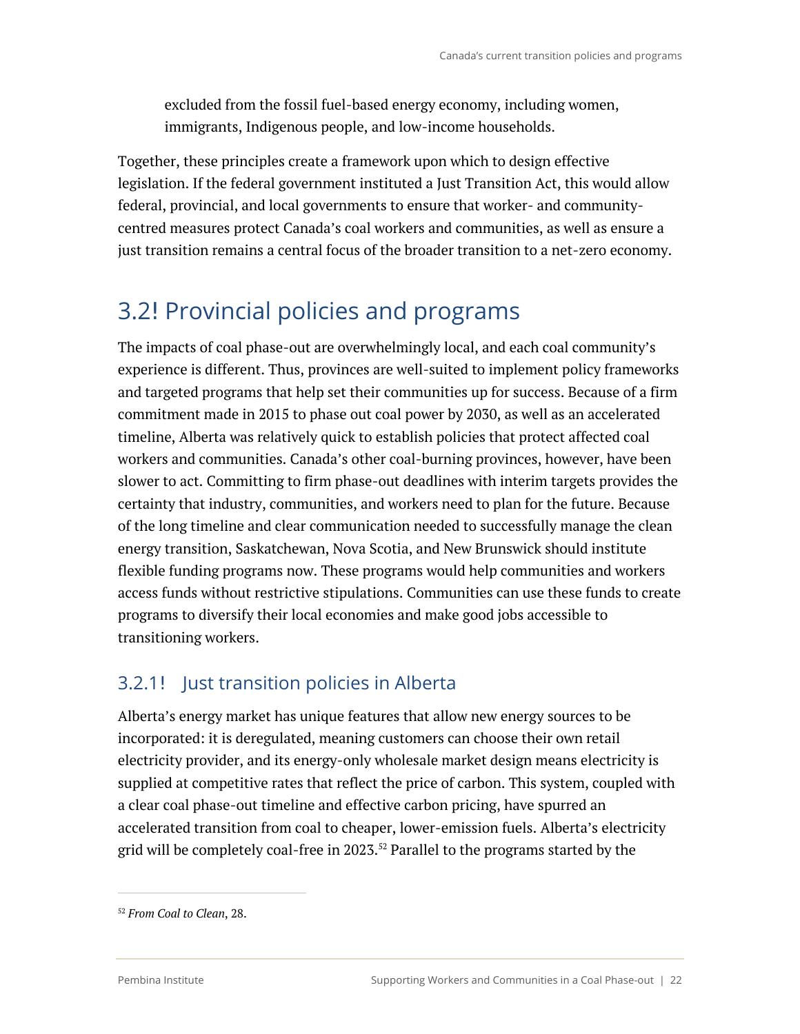excluded from the fossil fuel-based energy economy, including women, immigrants, Indigenous people, and low-income households.

Together, these principles create a framework upon which to design effective legislation. If the federal government instituted a Just Transition Act, this would allow federal, provincial, and local governments to ensure that worker- and communitycentred measures protect Canada's coal workers and communities, as well as ensure a just transition remains a central focus of the broader transition to a net-zero economy.

### 3.2! Provincial policies and programs

The impacts of coal phase-out are overwhelmingly local, and each coal community's experience is different. Thus, provinces are well-suited to implement policy frameworks and targeted programs that help set their communities up for success. Because of a firm commitment made in 2015 to phase out coal power by 2030, as well as an accelerated timeline, Alberta was relatively quick to establish policies that protect affected coal workers and communities. Canada's other coal-burning provinces, however, have been slower to act. Committing to firm phase-out deadlines with interim targets provides the certainty that industry, communities, and workers need to plan for the future. Because of the long timeline and clear communication needed to successfully manage the clean energy transition, Saskatchewan, Nova Scotia, and New Brunswick should institute flexible funding programs now. These programs would help communities and workers access funds without restrictive stipulations. Communities can use these funds to create programs to diversify their local economies and make good jobs accessible to transitioning workers.

### 3.2.1! Just transition policies in Alberta

Alberta's energy market has unique features that allow new energy sources to be incorporated: it is deregulated, meaning customers can choose their own retail electricity provider, and its energy-only wholesale market design means electricity is supplied at competitive rates that reflect the price of carbon. This system, coupled with a clear coal phase-out timeline and effective carbon pricing, have spurred an accelerated transition from coal to cheaper, lower-emission fuels. Alberta's electricity grid will be completely coal-free in 2023.52 Parallel to the programs started by the

<sup>52</sup> *From Coal to Clean*, 28.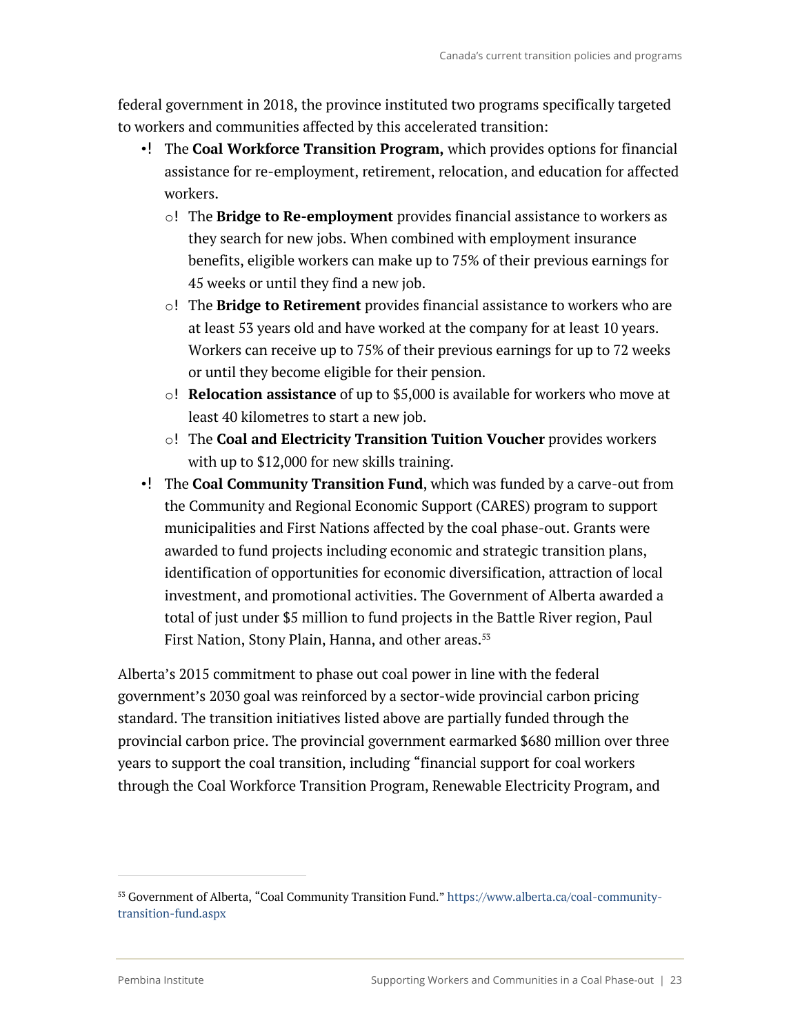federal government in 2018, the province instituted two programs specifically targeted to workers and communities affected by this accelerated transition:

- •! The **Coal Workforce Transition Program,** which provides options for financial assistance for re-employment, retirement, relocation, and education for affected workers.
	- o The **Bridge to Re-employment** provides financial assistance to workers as they search for new jobs. When combined with employment insurance benefits, eligible workers can make up to 75% of their previous earnings for 45 weeks or until they find a new job.
	- o The **Bridge to Retirement** provides financial assistance to workers who are at least 53 years old and have worked at the company for at least 10 years. Workers can receive up to 75% of their previous earnings for up to 72 weeks or until they become eligible for their pension.
	- o **Relocation assistance** of up to \$5,000 is available for workers who move at least 40 kilometres to start a new job.
	- o The **Coal and Electricity Transition Tuition Voucher** provides workers with up to \$12,000 for new skills training.
- •! The **Coal Community Transition Fund**, which was funded by a carve-out from the Community and Regional Economic Support (CARES) program to support municipalities and First Nations affected by the coal phase-out. Grants were awarded to fund projects including economic and strategic transition plans, identification of opportunities for economic diversification, attraction of local investment, and promotional activities. The Government of Alberta awarded a total of just under \$5 million to fund projects in the Battle River region, Paul First Nation, Stony Plain, Hanna, and other areas.<sup>53</sup>

Alberta's 2015 commitment to phase out coal power in line with the federal government's 2030 goal was reinforced by a sector-wide provincial carbon pricing standard. The transition initiatives listed above are partially funded through the provincial carbon price. The provincial government earmarked \$680 million over three years to support the coal transition, including "financial support for coal workers through the Coal Workforce Transition Program, Renewable Electricity Program, and

<sup>53</sup> Government of Alberta, "Coal Community Transition Fund." https://www.alberta.ca/coal-communitytransition-fund.aspx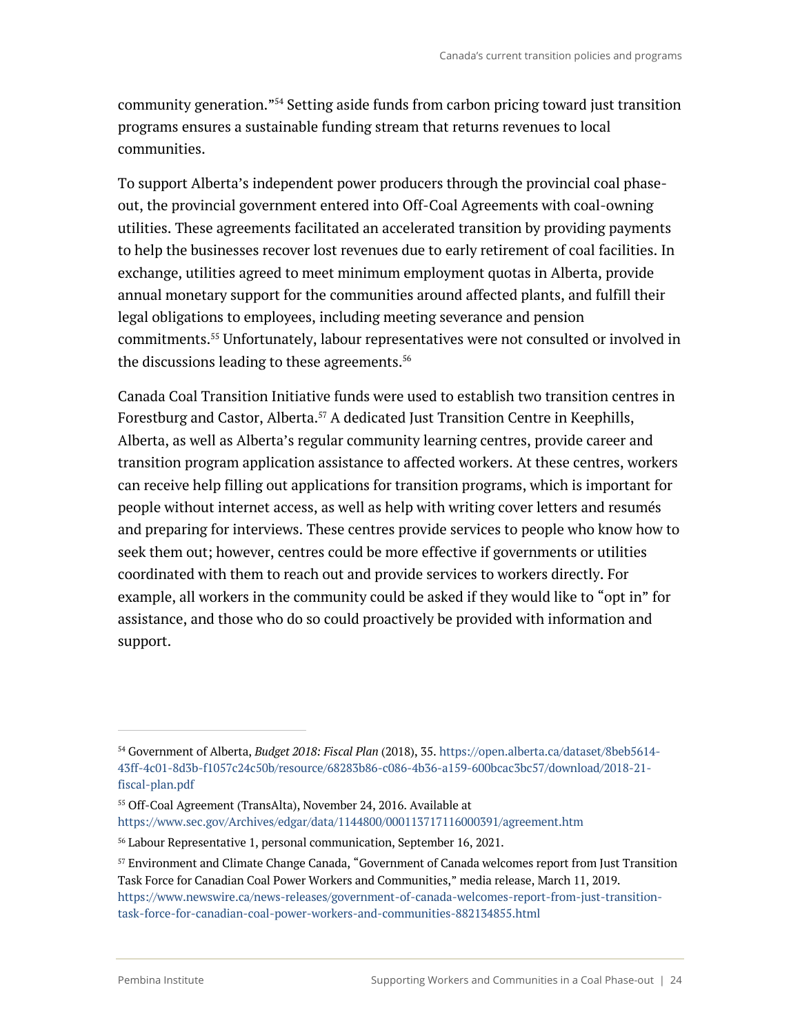community generation."54 Setting aside funds from carbon pricing toward just transition programs ensures a sustainable funding stream that returns revenues to local communities.

To support Alberta's independent power producers through the provincial coal phaseout, the provincial government entered into Off-Coal Agreements with coal-owning utilities. These agreements facilitated an accelerated transition by providing payments to help the businesses recover lost revenues due to early retirement of coal facilities. In exchange, utilities agreed to meet minimum employment quotas in Alberta, provide annual monetary support for the communities around affected plants, and fulfill their legal obligations to employees, including meeting severance and pension commitments. <sup>55</sup> Unfortunately, labour representatives were not consulted or involved in the discussions leading to these agreements.<sup>56</sup>

Canada Coal Transition Initiative funds were used to establish two transition centres in Forestburg and Castor, Alberta.<sup>57</sup> A dedicated Just Transition Centre in Keephills, Alberta, as well as Alberta's regular community learning centres, provide career and transition program application assistance to affected workers. At these centres, workers can receive help filling out applications for transition programs, which is important for people without internet access, as well as help with writing cover letters and resumés and preparing for interviews. These centres provide services to people who know how to seek them out; however, centres could be more effective if governments or utilities coordinated with them to reach out and provide services to workers directly. For example, all workers in the community could be asked if they would like to "opt in" for assistance, and those who do so could proactively be provided with information and support.

<sup>54</sup> Government of Alberta, *Budget 2018: Fiscal Plan* (2018), 35. https://open.alberta.ca/dataset/8beb5614- 43ff-4c01-8d3b-f1057c24c50b/resource/68283b86-c086-4b36-a159-600bcac3bc57/download/2018-21 fiscal-plan.pdf

<sup>55</sup> Off-Coal Agreement (TransAlta), November 24, 2016. Available at https://www.sec.gov/Archives/edgar/data/1144800/000113717116000391/agreement.htm

<sup>56</sup> Labour Representative 1, personal communication, September 16, 2021.

<sup>57</sup> Environment and Climate Change Canada, "Government of Canada welcomes report from Just Transition Task Force for Canadian Coal Power Workers and Communities," media release, March 11, 2019. https://www.newswire.ca/news-releases/government-of-canada-welcomes-report-from-just-transitiontask-force-for-canadian-coal-power-workers-and-communities-882134855.html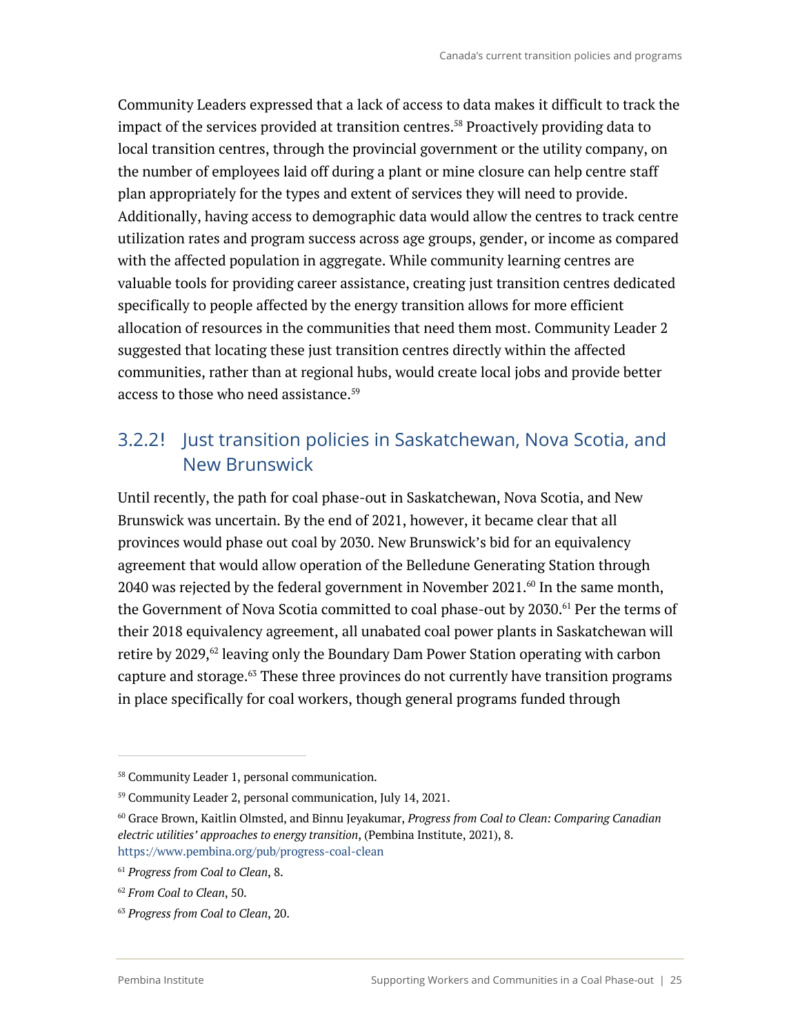Community Leaders expressed that a lack of access to data makes it difficult to track the impact of the services provided at transition centres. <sup>58</sup> Proactively providing data to local transition centres, through the provincial government or the utility company, on the number of employees laid off during a plant or mine closure can help centre staff plan appropriately for the types and extent of services they will need to provide. Additionally, having access to demographic data would allow the centres to track centre utilization rates and program success across age groups, gender, or income as compared with the affected population in aggregate. While community learning centres are valuable tools for providing career assistance, creating just transition centres dedicated specifically to people affected by the energy transition allows for more efficient allocation of resources in the communities that need them most. Community Leader 2 suggested that locating these just transition centres directly within the affected communities, rather than at regional hubs, would create local jobs and provide better access to those who need assistance.<sup>59</sup>

### 3.2.2 Just transition policies in Saskatchewan, Nova Scotia, and New Brunswick

Until recently, the path for coal phase-out in Saskatchewan, Nova Scotia, and New Brunswick was uncertain. By the end of 2021, however, it became clear that all provinces would phase out coal by 2030. New Brunswick's bid for an equivalency agreement that would allow operation of the Belledune Generating Station through 2040 was rejected by the federal government in November 2021. $\omega$  In the same month, the Government of Nova Scotia committed to coal phase-out by 2030.<sup>61</sup> Per the terms of their 2018 equivalency agreement, all unabated coal power plants in Saskatchewan will retire by  $2029,$ <sup> $62$ </sup> leaving only the Boundary Dam Power Station operating with carbon capture and storage.<sup>63</sup> These three provinces do not currently have transition programs in place specifically for coal workers, though general programs funded through

<sup>58</sup> Community Leader 1, personal communication.

<sup>59</sup> Community Leader 2, personal communication, July 14, 2021.

<sup>60</sup> Grace Brown, Kaitlin Olmsted, and Binnu Jeyakumar, *Progress from Coal to Clean: Comparing Canadian electric utilities' approaches to energy transition*, (Pembina Institute, 2021), 8. https://www.pembina.org/pub/progress-coal-clean

<sup>61</sup> *Progress from Coal to Clean*, 8.

<sup>62</sup> *From Coal to Clean*, 50.

<sup>63</sup> *Progress from Coal to Clean*, 20.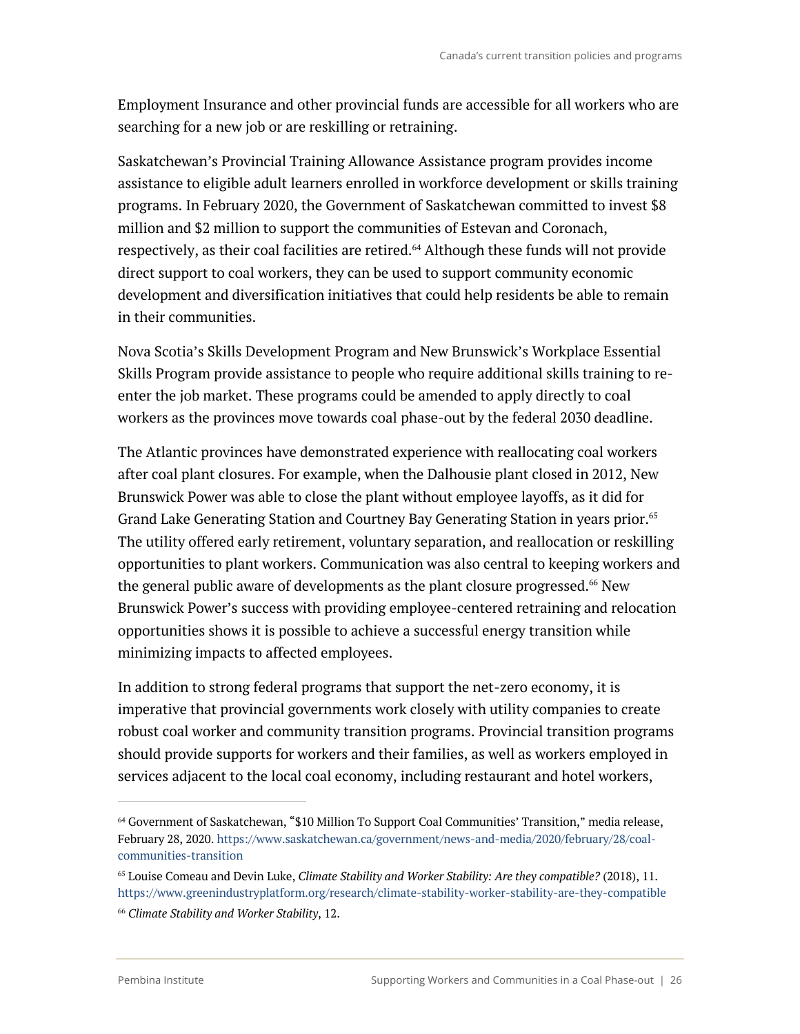Employment Insurance and other provincial funds are accessible for all workers who are searching for a new job or are reskilling or retraining.

Saskatchewan's Provincial Training Allowance Assistance program provides income assistance to eligible adult learners enrolled in workforce development or skills training programs. In February 2020, the Government of Saskatchewan committed to invest \$8 million and \$2 million to support the communities of Estevan and Coronach, respectively, as their coal facilities are retired. <sup>64</sup> Although these funds will not provide direct support to coal workers, they can be used to support community economic development and diversification initiatives that could help residents be able to remain in their communities.

Nova Scotia's Skills Development Program and New Brunswick's Workplace Essential Skills Program provide assistance to people who require additional skills training to reenter the job market. These programs could be amended to apply directly to coal workers as the provinces move towards coal phase-out by the federal 2030 deadline.

The Atlantic provinces have demonstrated experience with reallocating coal workers after coal plant closures. For example, when the Dalhousie plant closed in 2012, New Brunswick Power was able to close the plant without employee layoffs, as it did for Grand Lake Generating Station and Courtney Bay Generating Station in years prior. 65 The utility offered early retirement, voluntary separation, and reallocation or reskilling opportunities to plant workers. Communication was also central to keeping workers and the general public aware of developments as the plant closure progressed. <sup>66</sup> New Brunswick Power's success with providing employee-centered retraining and relocation opportunities shows it is possible to achieve a successful energy transition while minimizing impacts to affected employees.

In addition to strong federal programs that support the net-zero economy, it is imperative that provincial governments work closely with utility companies to create robust coal worker and community transition programs. Provincial transition programs should provide supports for workers and their families, as well as workers employed in services adjacent to the local coal economy, including restaurant and hotel workers,

<sup>64</sup> Government of Saskatchewan, "\$10 Million To Support Coal Communities' Transition," media release, February 28, 2020. https://www.saskatchewan.ca/government/news-and-media/2020/february/28/coalcommunities-transition

<sup>65</sup> Louise Comeau and Devin Luke, *Climate Stability and Worker Stability: Are they compatible?* (2018), 11. https://www.greenindustryplatform.org/research/climate-stability-worker-stability-are-they-compatible

<sup>66</sup> *Climate Stability and Worker Stability*, 12.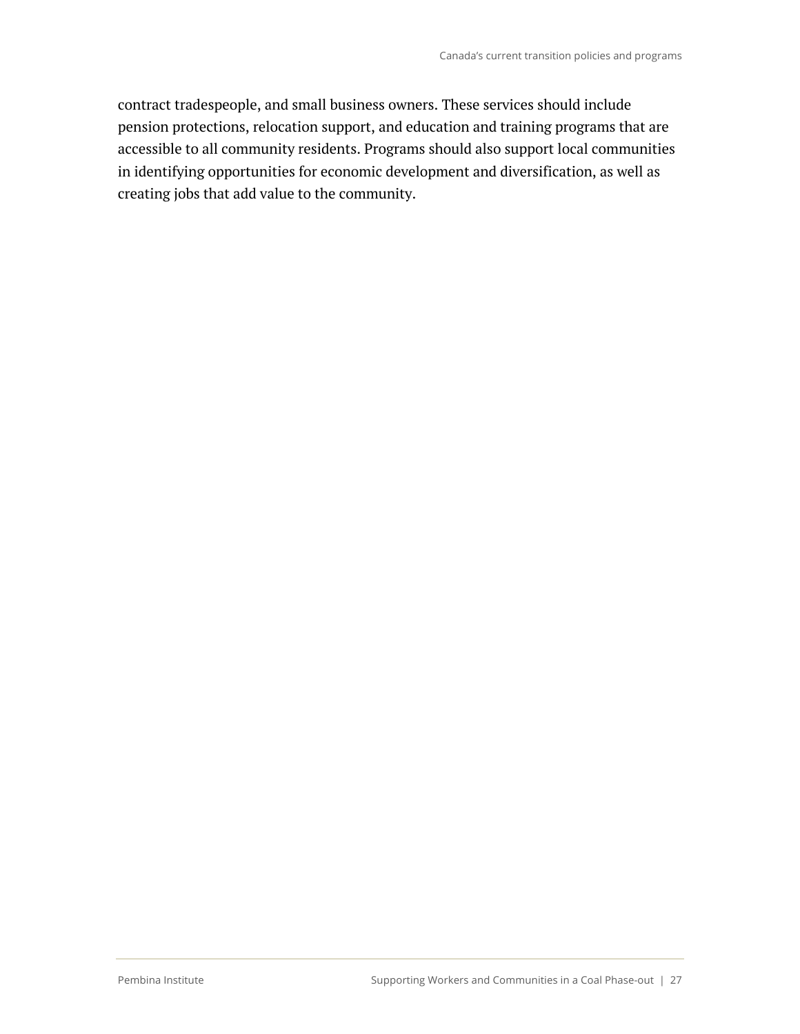contract tradespeople, and small business owners. These services should include pension protections, relocation support, and education and training programs that are accessible to all community residents. Programs should also support local communities in identifying opportunities for economic development and diversification, as well as creating jobs that add value to the community.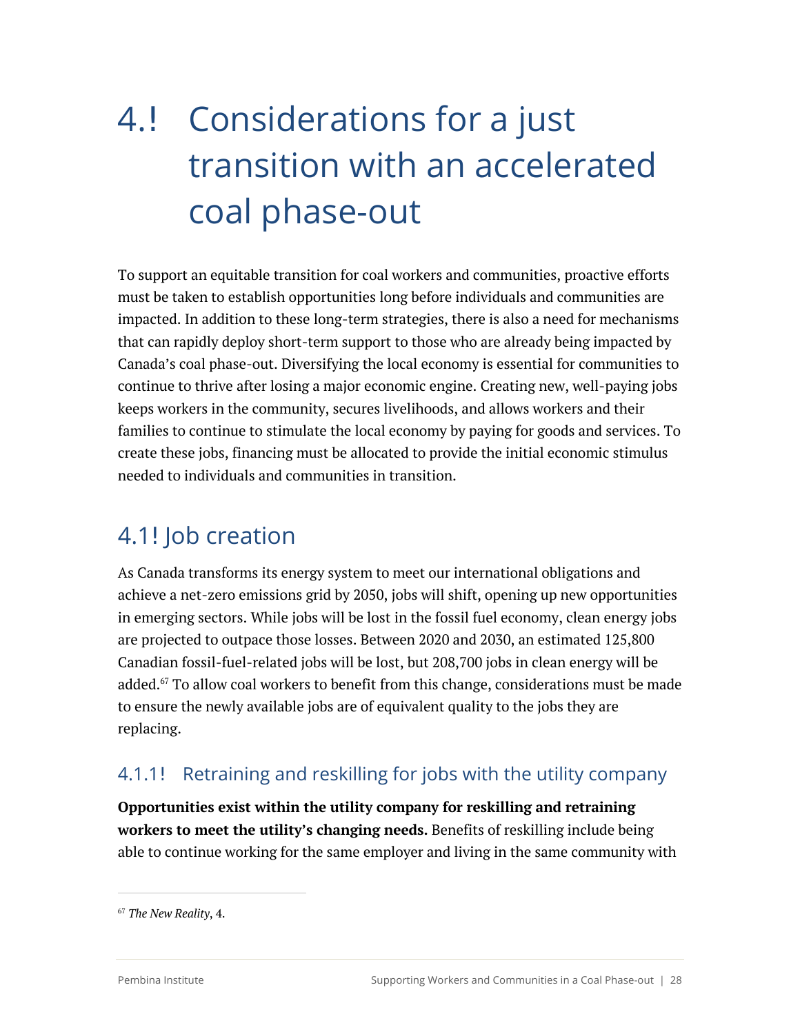# 4. Considerations for a just transition with an accelerated coal phase-out

To support an equitable transition for coal workers and communities, proactive efforts must be taken to establish opportunities long before individuals and communities are impacted. In addition to these long-term strategies, there is also a need for mechanisms that can rapidly deploy short-term support to those who are already being impacted by Canada's coal phase-out. Diversifying the local economy is essential for communities to continue to thrive after losing a major economic engine. Creating new, well-paying jobs keeps workers in the community, secures livelihoods, and allows workers and their families to continue to stimulate the local economy by paying for goods and services. To create these jobs, financing must be allocated to provide the initial economic stimulus needed to individuals and communities in transition.

### 4.1! Job creation

As Canada transforms its energy system to meet our international obligations and achieve a net-zero emissions grid by 2050, jobs will shift, opening up new opportunities in emerging sectors. While jobs will be lost in the fossil fuel economy, clean energy jobs are projected to outpace those losses. Between 2020 and 2030, an estimated 125,800 Canadian fossil-fuel-related jobs will be lost, but 208,700 jobs in clean energy will be added.<sup>67</sup> To allow coal workers to benefit from this change, considerations must be made to ensure the newly available jobs are of equivalent quality to the jobs they are replacing.

### 4.1.1! Retraining and reskilling for jobs with the utility company

**Opportunities exist within the utility company for reskilling and retraining workers to meet the utility's changing needs.** Benefits of reskilling include being able to continue working for the same employer and living in the same community with

<sup>67</sup> *The New Reality*, 4.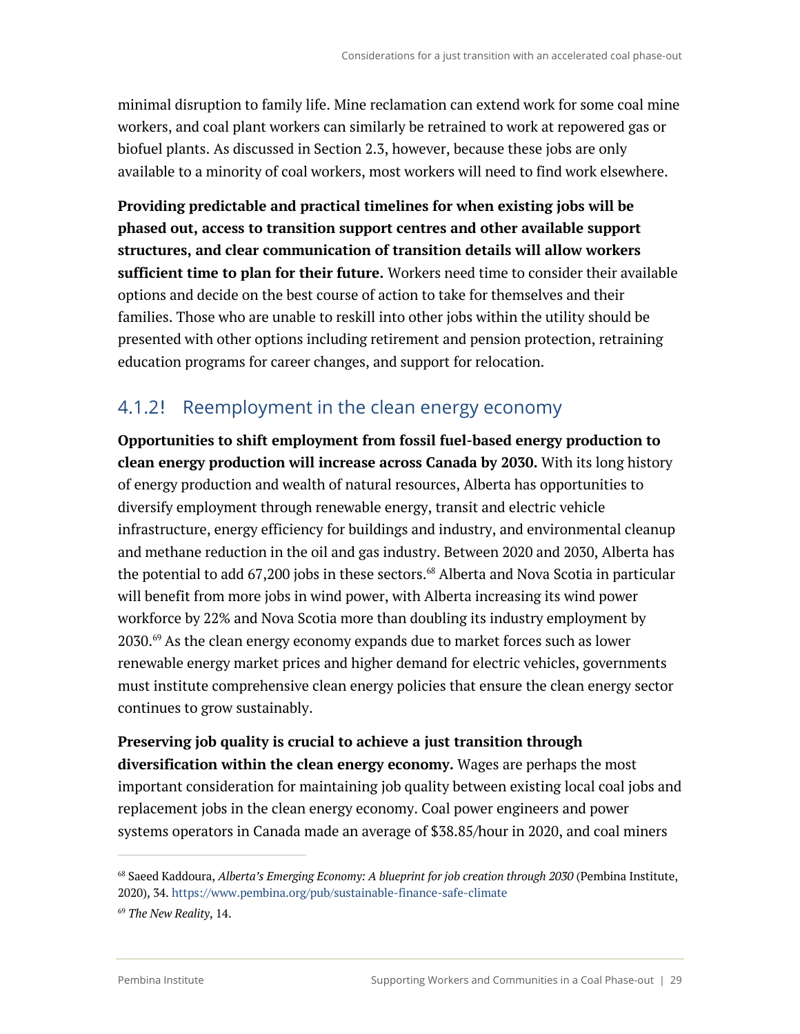minimal disruption to family life. Mine reclamation can extend work for some coal mine workers, and coal plant workers can similarly be retrained to work at repowered gas or biofuel plants. As discussed in Section 2.3, however, because these jobs are only available to a minority of coal workers, most workers will need to find work elsewhere.

**Providing predictable and practical timelines for when existing jobs will be phased out, access to transition support centres and other available support structures, and clear communication of transition details will allow workers sufficient time to plan for their future.** Workers need time to consider their available options and decide on the best course of action to take for themselves and their families. Those who are unable to reskill into other jobs within the utility should be presented with other options including retirement and pension protection, retraining education programs for career changes, and support for relocation.

### 4.1.2! Reemployment in the clean energy economy

**Opportunities to shift employment from fossil fuel-based energy production to clean energy production will increase across Canada by 2030.** With its long history of energy production and wealth of natural resources, Alberta has opportunities to diversify employment through renewable energy, transit and electric vehicle infrastructure, energy efficiency for buildings and industry, and environmental cleanup and methane reduction in the oil and gas industry. Between 2020 and 2030, Alberta has the potential to add  $67,200$  jobs in these sectors.<sup>68</sup> Alberta and Nova Scotia in particular will benefit from more jobs in wind power, with Alberta increasing its wind power workforce by 22% and Nova Scotia more than doubling its industry employment by 2030.<sup>69</sup> As the clean energy economy expands due to market forces such as lower renewable energy market prices and higher demand for electric vehicles, governments must institute comprehensive clean energy policies that ensure the clean energy sector continues to grow sustainably.

#### **Preserving job quality is crucial to achieve a just transition through**

**diversification within the clean energy economy.** Wages are perhaps the most important consideration for maintaining job quality between existing local coal jobs and replacement jobs in the clean energy economy. Coal power engineers and power systems operators in Canada made an average of \$38.85/hour in 2020, and coal miners

<sup>68</sup> Saeed Kaddoura, *Alberta's Emerging Economy: A blueprint for job creation through 2030* (Pembina Institute, 2020), 34. https://www.pembina.org/pub/sustainable-finance-safe-climate

<sup>69</sup> *The New Reality*, 14.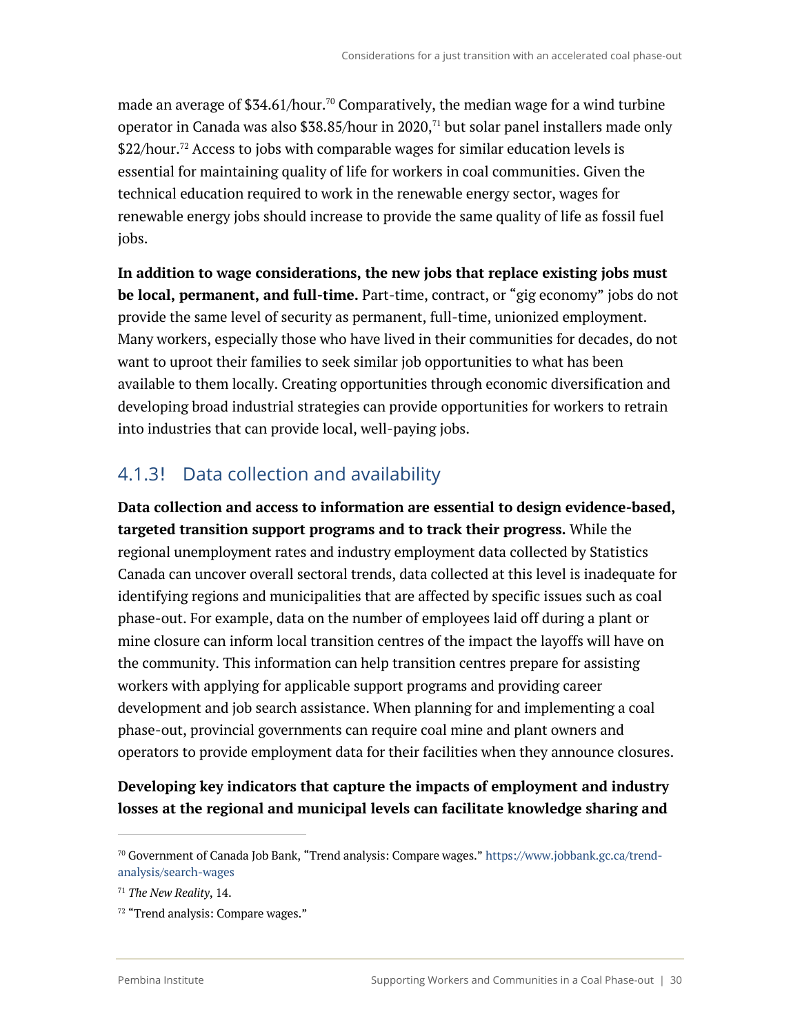made an average of \$34.61/hour.<sup>70</sup> Comparatively, the median wage for a wind turbine operator in Canada was also \$38.85/hour in 2020, $71$  but solar panel installers made only \$22/hour. <sup>72</sup> Access to jobs with comparable wages for similar education levels is essential for maintaining quality of life for workers in coal communities. Given the technical education required to work in the renewable energy sector, wages for renewable energy jobs should increase to provide the same quality of life as fossil fuel jobs.

**In addition to wage considerations, the new jobs that replace existing jobs must be local, permanent, and full-time.** Part-time, contract, or "gig economy" jobs do not provide the same level of security as permanent, full-time, unionized employment. Many workers, especially those who have lived in their communities for decades, do not want to uproot their families to seek similar job opportunities to what has been available to them locally. Creating opportunities through economic diversification and developing broad industrial strategies can provide opportunities for workers to retrain into industries that can provide local, well-paying jobs.

### 4.1.3! Data collection and availability

**Data collection and access to information are essential to design evidence-based, targeted transition support programs and to track their progress.** While the regional unemployment rates and industry employment data collected by Statistics Canada can uncover overall sectoral trends, data collected at this level is inadequate for identifying regions and municipalities that are affected by specific issues such as coal phase-out. For example, data on the number of employees laid off during a plant or mine closure can inform local transition centres of the impact the layoffs will have on the community. This information can help transition centres prepare for assisting workers with applying for applicable support programs and providing career development and job search assistance. When planning for and implementing a coal phase-out, provincial governments can require coal mine and plant owners and operators to provide employment data for their facilities when they announce closures.

### **Developing key indicators that capture the impacts of employment and industry losses at the regional and municipal levels can facilitate knowledge sharing and**

<sup>70</sup> Government of Canada Job Bank, "Trend analysis: Compare wages." https://www.jobbank.gc.ca/trendanalysis/search-wages

<sup>71</sup> *The New Reality*, 14.

<sup>72</sup> "Trend analysis: Compare wages."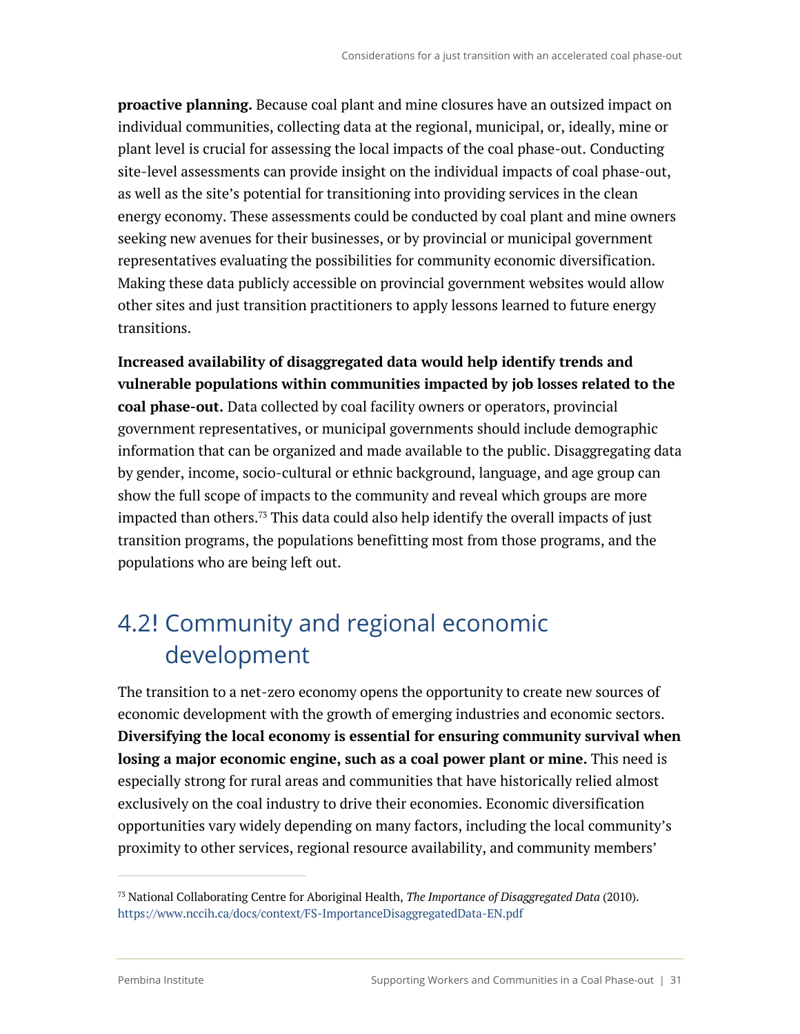**proactive planning.** Because coal plant and mine closures have an outsized impact on individual communities, collecting data at the regional, municipal, or, ideally, mine or plant level is crucial for assessing the local impacts of the coal phase-out. Conducting site-level assessments can provide insight on the individual impacts of coal phase-out, as well as the site's potential for transitioning into providing services in the clean energy economy. These assessments could be conducted by coal plant and mine owners seeking new avenues for their businesses, or by provincial or municipal government representatives evaluating the possibilities for community economic diversification. Making these data publicly accessible on provincial government websites would allow other sites and just transition practitioners to apply lessons learned to future energy transitions.

**Increased availability of disaggregated data would help identify trends and vulnerable populations within communities impacted by job losses related to the coal phase-out.** Data collected by coal facility owners or operators, provincial government representatives, or municipal governments should include demographic information that can be organized and made available to the public. Disaggregating data by gender, income, socio-cultural or ethnic background, language, and age group can show the full scope of impacts to the community and reveal which groups are more impacted than others. <sup>73</sup> This data could also help identify the overall impacts of just transition programs, the populations benefitting most from those programs, and the populations who are being left out.

# 4.2! Community and regional economic development

The transition to a net-zero economy opens the opportunity to create new sources of economic development with the growth of emerging industries and economic sectors. **Diversifying the local economy is essential for ensuring community survival when losing a major economic engine, such as a coal power plant or mine.** This need is especially strong for rural areas and communities that have historically relied almost exclusively on the coal industry to drive their economies. Economic diversification opportunities vary widely depending on many factors, including the local community's proximity to other services, regional resource availability, and community members'

<sup>73</sup> National Collaborating Centre for Aboriginal Health, *The Importance of Disaggregated Data* (2010). https://www.nccih.ca/docs/context/FS-ImportanceDisaggregatedData-EN.pdf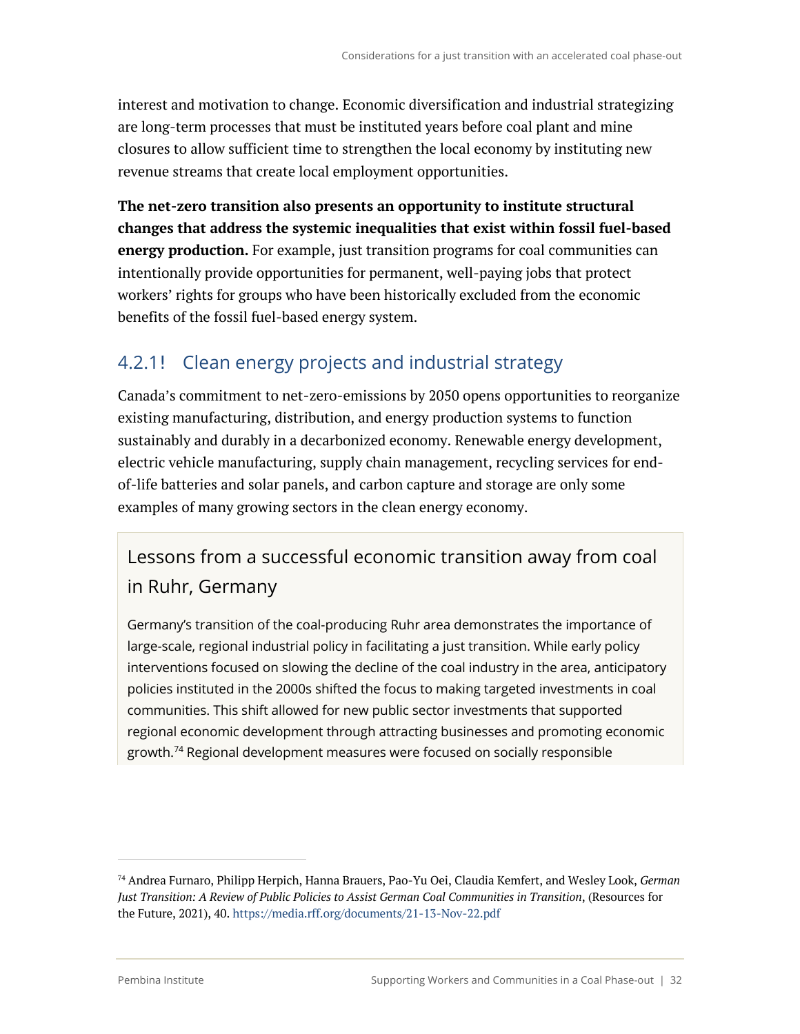interest and motivation to change. Economic diversification and industrial strategizing are long-term processes that must be instituted years before coal plant and mine closures to allow sufficient time to strengthen the local economy by instituting new revenue streams that create local employment opportunities.

**The net-zero transition also presents an opportunity to institute structural changes that address the systemic inequalities that exist within fossil fuel-based energy production.** For example, just transition programs for coal communities can intentionally provide opportunities for permanent, well-paying jobs that protect workers' rights for groups who have been historically excluded from the economic benefits of the fossil fuel-based energy system.

### 4.2.1! Clean energy projects and industrial strategy

Canada's commitment to net-zero-emissions by 2050 opens opportunities to reorganize existing manufacturing, distribution, and energy production systems to function sustainably and durably in a decarbonized economy. Renewable energy development, electric vehicle manufacturing, supply chain management, recycling services for endof-life batteries and solar panels, and carbon capture and storage are only some examples of many growing sectors in the clean energy economy.

### Lessons from a successful economic transition away from coal in Ruhr, Germany

Germany's transition of the coal-producing Ruhr area demonstrates the importance of large-scale, regional industrial policy in facilitating a just transition. While early policy interventions focused on slowing the decline of the coal industry in the area, anticipatory policies instituted in the 2000s shifted the focus to making targeted investments in coal communities. This shift allowed for new public sector investments that supported regional economic development through attracting businesses and promoting economic growth.<sup>74</sup> Regional development measures were focused on socially responsible

<sup>74</sup> Andrea Furnaro, Philipp Herpich, Hanna Brauers, Pao-Yu Oei, Claudia Kemfert, and Wesley Look, *German Just Transition: A Review of Public Policies to Assist German Coal Communities in Transition*, (Resources for the Future, 2021), 40. https://media.rff.org/documents/21-13-Nov-22.pdf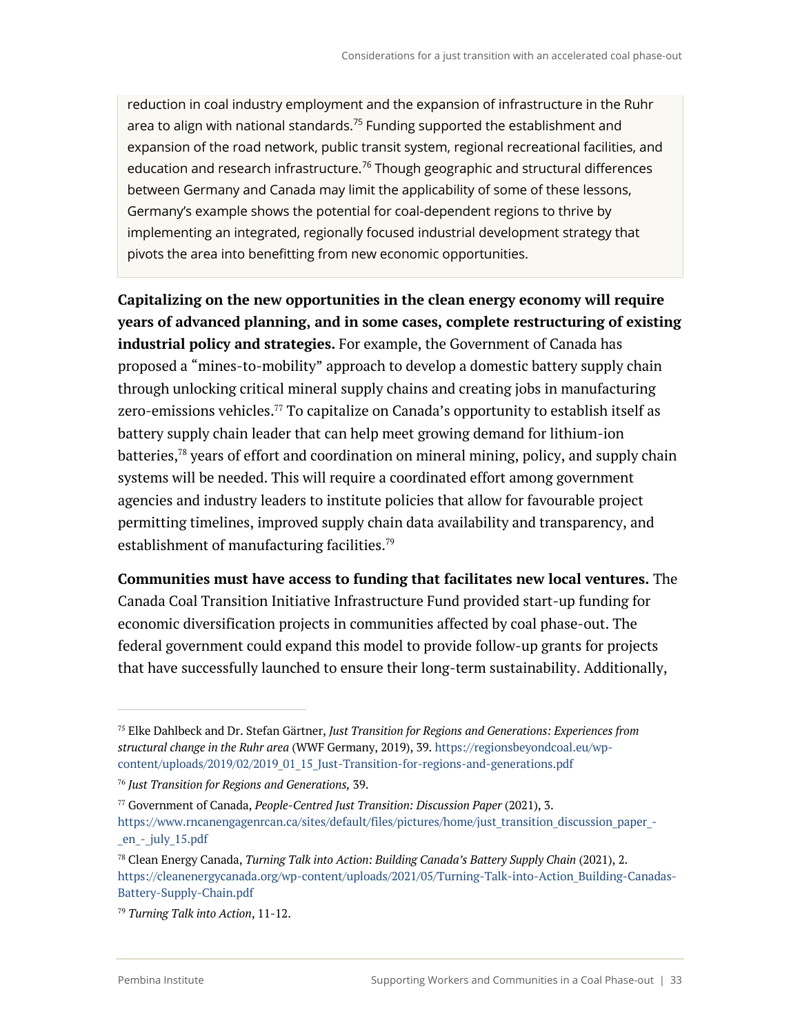reduction in coal industry employment and the expansion of infrastructure in the Ruhr area to align with national standards.<sup>75</sup> Funding supported the establishment and expansion of the road network, public transit system, regional recreational facilities, and education and research infrastructure.<sup>76</sup> Though geographic and structural differences between Germany and Canada may limit the applicability of some of these lessons, Germany's example shows the potential for coal-dependent regions to thrive by implementing an integrated, regionally focused industrial development strategy that pivots the area into benefitting from new economic opportunities.

**Capitalizing on the new opportunities in the clean energy economy will require years of advanced planning, and in some cases, complete restructuring of existing industrial policy and strategies.** For example, the Government of Canada has proposed a "mines-to-mobility" approach to develop a domestic battery supply chain through unlocking critical mineral supply chains and creating jobs in manufacturing zero-emissions vehicles.<sup>77</sup> To capitalize on Canada's opportunity to establish itself as battery supply chain leader that can help meet growing demand for lithium-ion batteries,<sup>78</sup> years of effort and coordination on mineral mining, policy, and supply chain systems will be needed. This will require a coordinated effort among government agencies and industry leaders to institute policies that allow for favourable project permitting timelines, improved supply chain data availability and transparency, and establishment of manufacturing facilities.<sup>79</sup>

**Communities must have access to funding that facilitates new local ventures.** The Canada Coal Transition Initiative Infrastructure Fund provided start-up funding for economic diversification projects in communities affected by coal phase-out. The federal government could expand this model to provide follow-up grants for projects that have successfully launched to ensure their long-term sustainability. Additionally,

<sup>75</sup> Elke Dahlbeck and Dr. Stefan Gärtner, *Just Transition for Regions and Generations: Experiences from structural change in the Ruhr area* (WWF Germany, 2019), 39. https://regionsbeyondcoal.eu/wpcontent/uploads/2019/02/2019\_01\_15\_Just-Transition-for-regions-and-generations.pdf

<sup>76</sup> *Just Transition for Regions and Generations,* 39.

<sup>77</sup> Government of Canada, *People-Centred Just Transition: Discussion Paper* (2021), 3. https://www.rncanengagenrcan.ca/sites/default/files/pictures/home/just\_transition\_discussion\_paper\_-\_en\_-\_july\_15.pdf

<sup>78</sup> Clean Energy Canada, *Turning Talk into Action: Building Canada's Battery Supply Chain* (2021), 2. https://cleanenergycanada.org/wp-content/uploads/2021/05/Turning-Talk-into-Action Building-Canadas-Battery-Supply-Chain.pdf

<sup>79</sup> *Turning Talk into Action*, 11-12.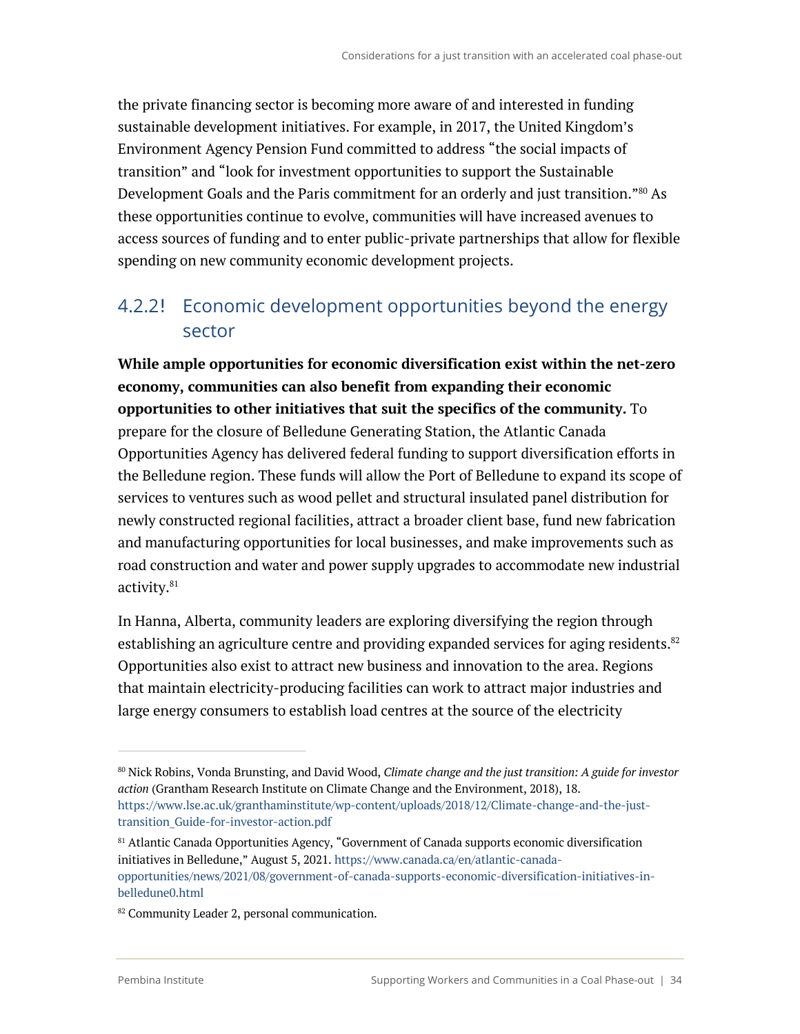the private financing sector is becoming more aware of and interested in funding sustainable development initiatives. For example, in 2017, the United Kingdom's Environment Agency Pension Fund committed to address "the social impacts of transition" and "look for investment opportunities to support the Sustainable Development Goals and the Paris commitment for an orderly and just transition."<sup>80</sup> As these opportunities continue to evolve, communities will have increased avenues to access sources of funding and to enter public-private partnerships that allow for flexible spending on new community economic development projects.

### 4.2.2! Economic development opportunities beyond the energy sector

**While ample opportunities for economic diversification exist within the net-zero economy, communities can also benefit from expanding their economic opportunities to other initiatives that suit the specifics of the community.** To prepare for the closure of Belledune Generating Station, the Atlantic Canada Opportunities Agency has delivered federal funding to support diversification efforts in the Belledune region. These funds will allow the Port of Belledune to expand its scope of services to ventures such as wood pellet and structural insulated panel distribution for newly constructed regional facilities, attract a broader client base, fund new fabrication and manufacturing opportunities for local businesses, and make improvements such as road construction and water and power supply upgrades to accommodate new industrial activity.<sup>81</sup>

In Hanna, Alberta, community leaders are exploring diversifying the region through establishing an agriculture centre and providing expanded services for aging residents. $82$ Opportunities also exist to attract new business and innovation to the area. Regions that maintain electricity-producing facilities can work to attract major industries and large energy consumers to establish load centres at the source of the electricity

<sup>80</sup> Nick Robins, Vonda Brunsting, and David Wood, *Climate change and the just transition: A guide for investor action* (Grantham Research Institute on Climate Change and the Environment, 2018), 18. https://www.lse.ac.uk/granthaminstitute/wp-content/uploads/2018/12/Climate-change-and-the-justtransition\_Guide-for-investor-action.pdf

<sup>81</sup> Atlantic Canada Opportunities Agency, "Government of Canada supports economic diversification initiatives in Belledune," August 5, 2021. https://www.canada.ca/en/atlantic-canadaopportunities/news/2021/08/government-of-canada-supports-economic-diversification-initiatives-inbelledune0.html

<sup>82</sup> Community Leader 2, personal communication.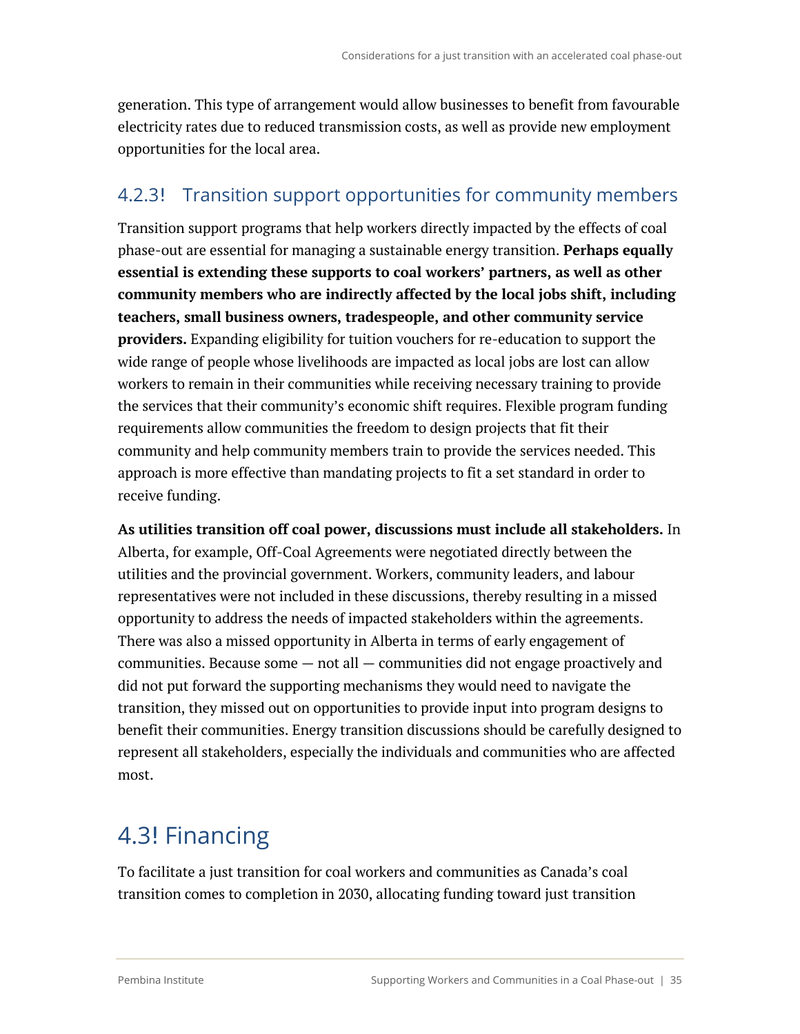generation. This type of arrangement would allow businesses to benefit from favourable electricity rates due to reduced transmission costs, as well as provide new employment opportunities for the local area.

### 4.2.3! Transition support opportunities for community members

Transition support programs that help workers directly impacted by the effects of coal phase-out are essential for managing a sustainable energy transition. **Perhaps equally essential is extending these supports to coal workers' partners, as well as other community members who are indirectly affected by the local jobs shift, including teachers, small business owners, tradespeople, and other community service providers.** Expanding eligibility for tuition vouchers for re-education to support the wide range of people whose livelihoods are impacted as local jobs are lost can allow workers to remain in their communities while receiving necessary training to provide the services that their community's economic shift requires. Flexible program funding requirements allow communities the freedom to design projects that fit their community and help community members train to provide the services needed. This approach is more effective than mandating projects to fit a set standard in order to receive funding.

**As utilities transition off coal power, discussions must include all stakeholders.** In Alberta, for example, Off-Coal Agreements were negotiated directly between the utilities and the provincial government. Workers, community leaders, and labour representatives were not included in these discussions, thereby resulting in a missed opportunity to address the needs of impacted stakeholders within the agreements. There was also a missed opportunity in Alberta in terms of early engagement of communities. Because some  $-$  not all  $-$  communities did not engage proactively and did not put forward the supporting mechanisms they would need to navigate the transition, they missed out on opportunities to provide input into program designs to benefit their communities. Energy transition discussions should be carefully designed to represent all stakeholders, especially the individuals and communities who are affected most.

# 4.3! Financing

To facilitate a just transition for coal workers and communities as Canada's coal transition comes to completion in 2030, allocating funding toward just transition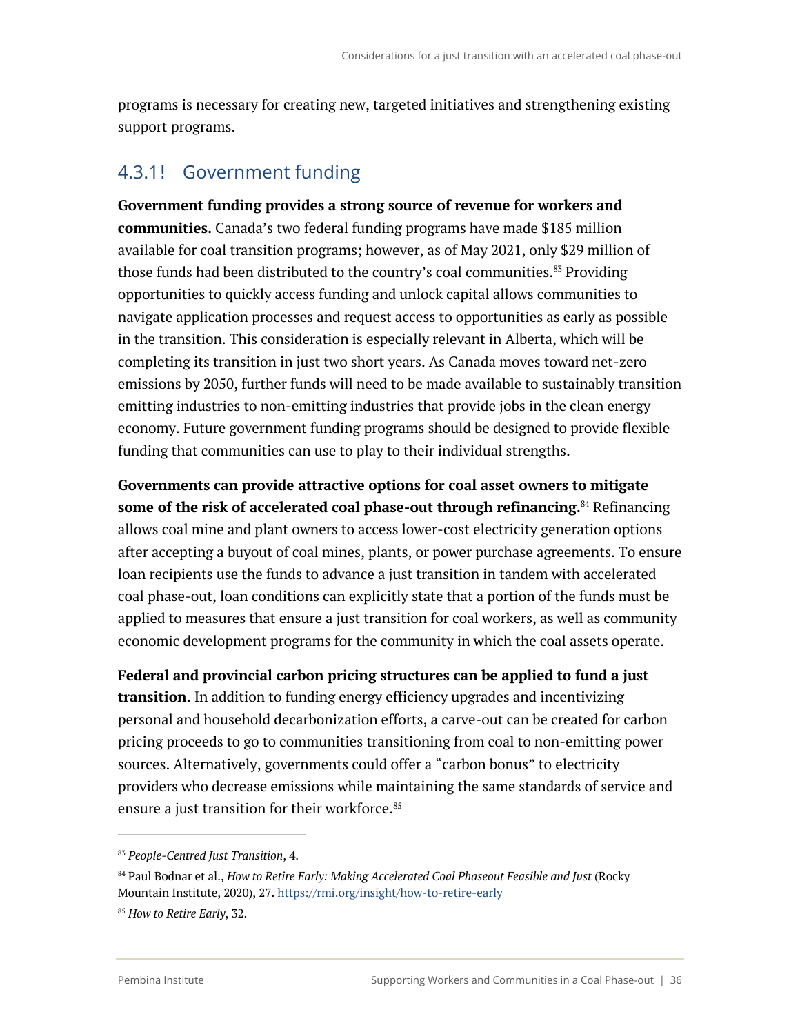programs is necessary for creating new, targeted initiatives and strengthening existing support programs.

### 4.3.1! Government funding

**Government funding provides a strong source of revenue for workers and communities.** Canada's two federal funding programs have made \$185 million available for coal transition programs; however, as of May 2021, only \$29 million of those funds had been distributed to the country's coal communities.<sup>83</sup> Providing opportunities to quickly access funding and unlock capital allows communities to navigate application processes and request access to opportunities as early as possible in the transition. This consideration is especially relevant in Alberta, which will be completing its transition in just two short years. As Canada moves toward net-zero emissions by 2050, further funds will need to be made available to sustainably transition emitting industries to non-emitting industries that provide jobs in the clean energy economy. Future government funding programs should be designed to provide flexible funding that communities can use to play to their individual strengths.

**Governments can provide attractive options for coal asset owners to mitigate some of the risk of accelerated coal phase-out through refinancing.** <sup>84</sup> Refinancing allows coal mine and plant owners to access lower-cost electricity generation options after accepting a buyout of coal mines, plants, or power purchase agreements. To ensure loan recipients use the funds to advance a just transition in tandem with accelerated coal phase-out, loan conditions can explicitly state that a portion of the funds must be applied to measures that ensure a just transition for coal workers, as well as community economic development programs for the community in which the coal assets operate.

**Federal and provincial carbon pricing structures can be applied to fund a just transition.** In addition to funding energy efficiency upgrades and incentivizing personal and household decarbonization efforts, a carve-out can be created for carbon pricing proceeds to go to communities transitioning from coal to non-emitting power sources. Alternatively, governments could offer a "carbon bonus" to electricity providers who decrease emissions while maintaining the same standards of service and ensure a just transition for their workforce.<sup>85</sup>

<sup>83</sup> *People-Centred Just Transition*, 4.

<sup>84</sup> Paul Bodnar et al., *How to Retire Early: Making Accelerated Coal Phaseout Feasible and Just* (Rocky Mountain Institute, 2020), 27. https://rmi.org/insight/how-to-retire-early

<sup>85</sup> *How to Retire Early*, 32.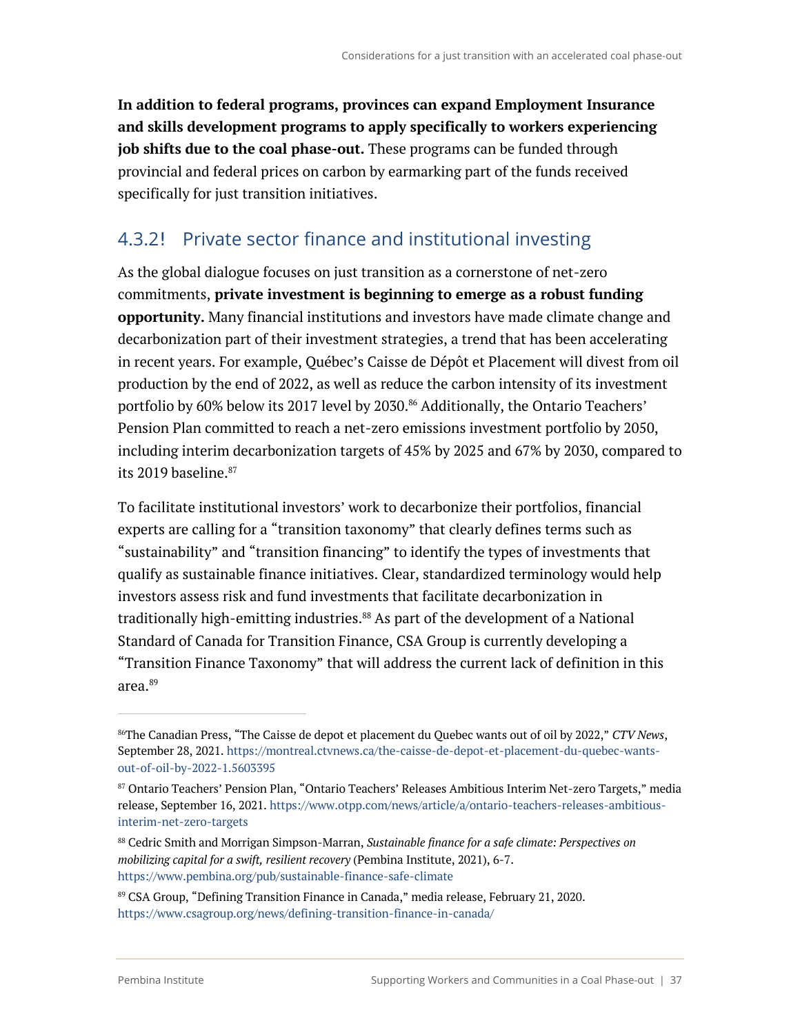**In addition to federal programs, provinces can expand Employment Insurance and skills development programs to apply specifically to workers experiencing job shifts due to the coal phase-out.** These programs can be funded through provincial and federal prices on carbon by earmarking part of the funds received specifically for just transition initiatives.

### 4.3.2! Private sector finance and institutional investing

As the global dialogue focuses on just transition as a cornerstone of net-zero commitments, **private investment is beginning to emerge as a robust funding opportunity.** Many financial institutions and investors have made climate change and decarbonization part of their investment strategies, a trend that has been accelerating in recent years. For example, Québec's Caisse de Dépôt et Placement will divest from oil production by the end of 2022, as well as reduce the carbon intensity of its investment portfolio by 60% below its 2017 level by 2030.<sup>86</sup> Additionally, the Ontario Teachers' Pension Plan committed to reach a net-zero emissions investment portfolio by 2050, including interim decarbonization targets of 45% by 2025 and 67% by 2030, compared to its 2019 baseline.<sup>87</sup>

To facilitate institutional investors' work to decarbonize their portfolios, financial experts are calling for a "transition taxonomy" that clearly defines terms such as "sustainability" and "transition financing" to identify the types of investments that qualify as sustainable finance initiatives. Clear, standardized terminology would help investors assess risk and fund investments that facilitate decarbonization in traditionally high-emitting industries.<sup>88</sup> As part of the development of a National Standard of Canada for Transition Finance, CSA Group is currently developing a "Transition Finance Taxonomy" that will address the current lack of definition in this area. 89

<sup>86</sup>The Canadian Press, "The Caisse de depot et placement du Quebec wants out of oil by 2022," *CTV News*, September 28, 2021. https://montreal.ctvnews.ca/the-caisse-de-depot-et-placement-du-quebec-wantsout-of-oil-by-2022-1.5603395

<sup>87</sup> Ontario Teachers' Pension Plan, "Ontario Teachers' Releases Ambitious Interim Net-zero Targets," media release, September 16, 2021. https://www.otpp.com/news/article/a/ontario-teachers-releases-ambitiousinterim-net-zero-targets

<sup>88</sup> Cedric Smith and Morrigan Simpson-Marran, *Sustainable finance for a safe climate: Perspectives on mobilizing capital for a swift, resilient recovery* (Pembina Institute, 2021), 6-7. https://www.pembina.org/pub/sustainable-finance-safe-climate

<sup>89</sup> CSA Group, "Defining Transition Finance in Canada," media release, February 21, 2020. https://www.csagroup.org/news/defining-transition-finance-in-canada/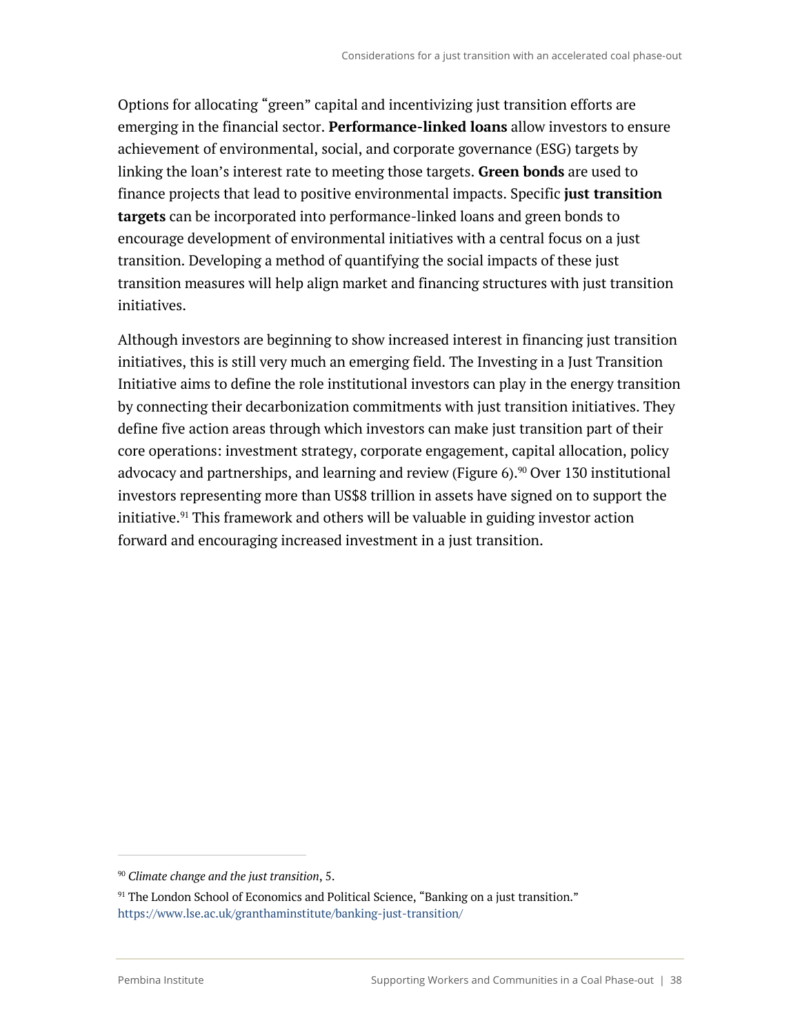Options for allocating "green" capital and incentivizing just transition efforts are emerging in the financial sector. **Performance-linked loans** allow investors to ensure achievement of environmental, social, and corporate governance (ESG) targets by linking the loan's interest rate to meeting those targets. **Green bonds** are used to finance projects that lead to positive environmental impacts. Specific **just transition targets** can be incorporated into performance-linked loans and green bonds to encourage development of environmental initiatives with a central focus on a just transition. Developing a method of quantifying the social impacts of these just transition measures will help align market and financing structures with just transition initiatives.

Although investors are beginning to show increased interest in financing just transition initiatives, this is still very much an emerging field. The Investing in a Just Transition Initiative aims to define the role institutional investors can play in the energy transition by connecting their decarbonization commitments with just transition initiatives. They define five action areas through which investors can make just transition part of their core operations: investment strategy, corporate engagement, capital allocation, policy advocacy and partnerships, and learning and review (Figure 6).<sup>90</sup> Over 130 institutional investors representing more than US\$8 trillion in assets have signed on to support the initiative.<sup>91</sup> This framework and others will be valuable in guiding investor action forward and encouraging increased investment in a just transition.

<sup>90</sup> *Climate change and the just transition*, 5.

 $91$  The London School of Economics and Political Science, "Banking on a just transition." https://www.lse.ac.uk/granthaminstitute/banking-just-transition/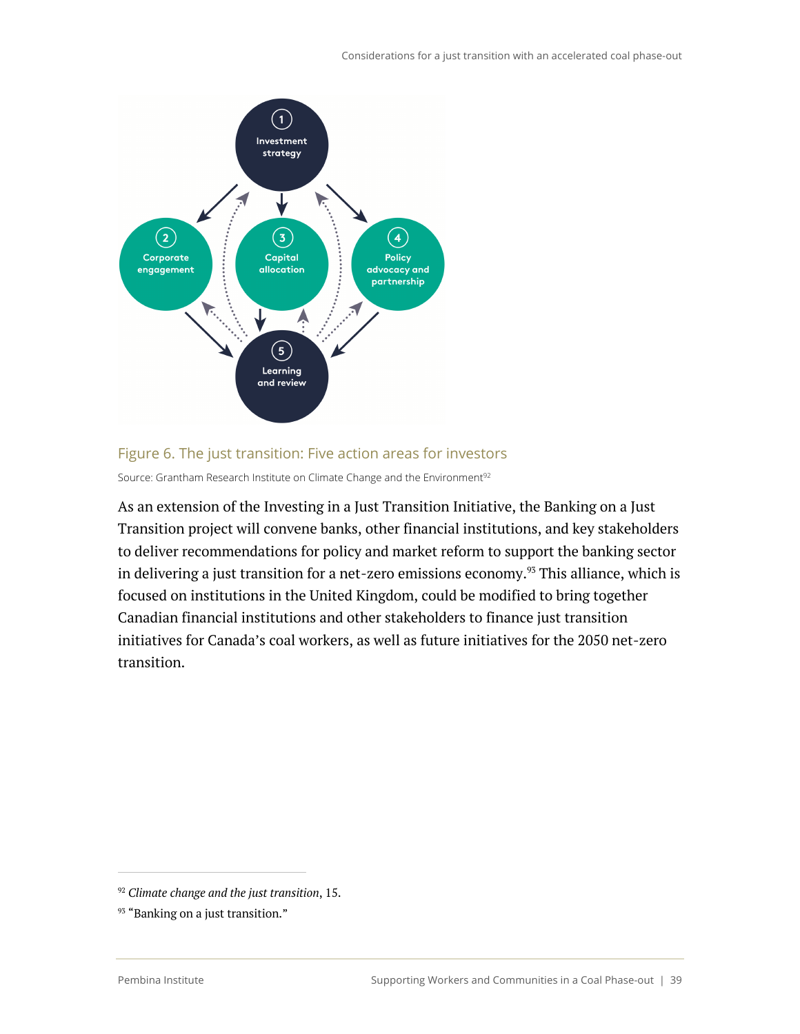

#### Figure 6. The just transition: Five action areas for investors

Source: Grantham Research Institute on Climate Change and the Environment<sup>92</sup>

As an extension of the Investing in a Just Transition Initiative, the Banking on a Just Transition project will convene banks, other financial institutions, and key stakeholders to deliver recommendations for policy and market reform to support the banking sector in delivering a just transition for a net-zero emissions economy.<sup>93</sup> This alliance, which is focused on institutions in the United Kingdom, could be modified to bring together Canadian financial institutions and other stakeholders to finance just transition initiatives for Canada's coal workers, as well as future initiatives for the 2050 net-zero transition.

<sup>92</sup> *Climate change and the just transition*, 15.

<sup>&</sup>lt;sup>93</sup> "Banking on a just transition."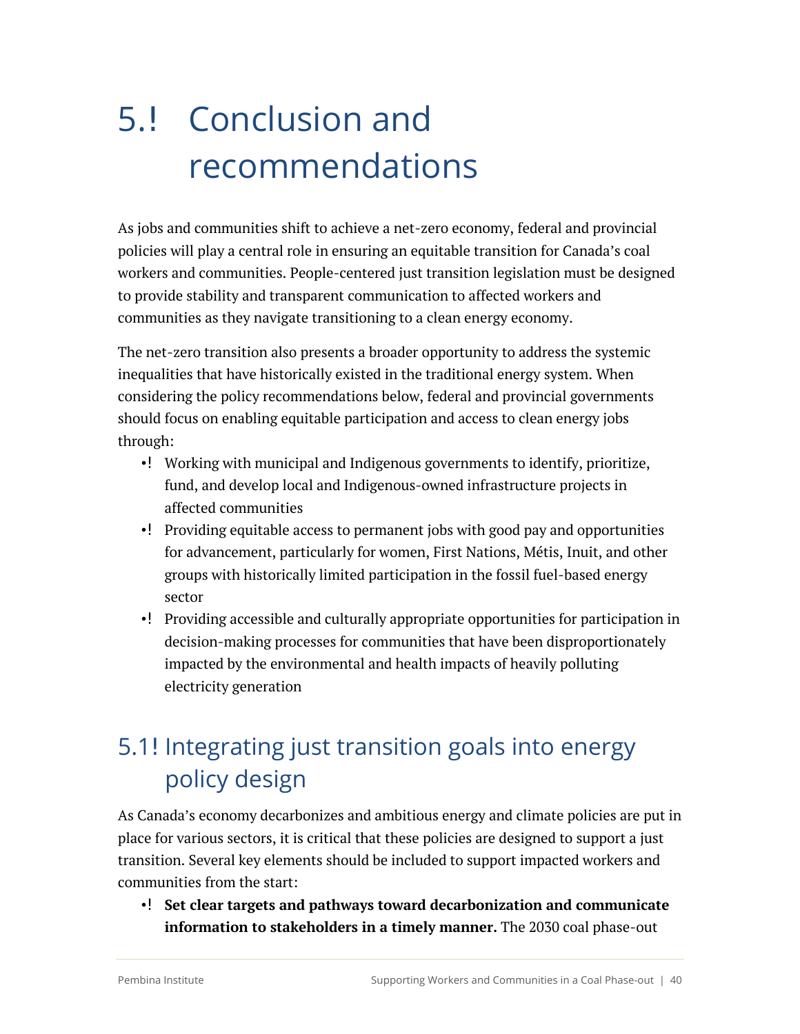# 5.! Conclusion and recommendations

As jobs and communities shift to achieve a net-zero economy, federal and provincial policies will play a central role in ensuring an equitable transition for Canada's coal workers and communities. People-centered just transition legislation must be designed to provide stability and transparent communication to affected workers and communities as they navigate transitioning to a clean energy economy.

The net-zero transition also presents a broader opportunity to address the systemic inequalities that have historically existed in the traditional energy system. When considering the policy recommendations below, federal and provincial governments should focus on enabling equitable participation and access to clean energy jobs through:

- •! Working with municipal and Indigenous governments to identify, prioritize, fund, and develop local and Indigenous-owned infrastructure projects in affected communities
- •! Providing equitable access to permanent jobs with good pay and opportunities for advancement, particularly for women, First Nations, Métis, Inuit, and other groups with historically limited participation in the fossil fuel-based energy sector
- •! Providing accessible and culturally appropriate opportunities for participation in decision-making processes for communities that have been disproportionately impacted by the environmental and health impacts of heavily polluting electricity generation

# 5.1! Integrating just transition goals into energy policy design

As Canada's economy decarbonizes and ambitious energy and climate policies are put in place for various sectors, it is critical that these policies are designed to support a just transition. Several key elements should be included to support impacted workers and communities from the start:

• **Set clear targets and pathways toward decarbonization and communicate information to stakeholders in a timely manner.** The 2030 coal phase-out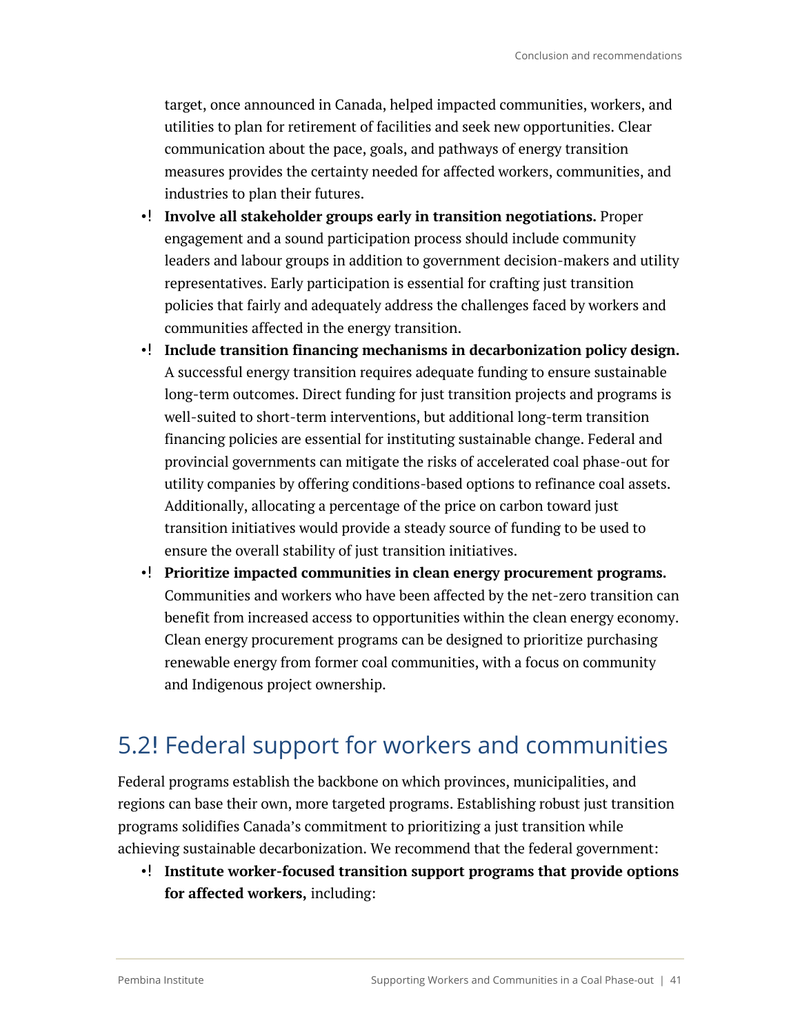target, once announced in Canada, helped impacted communities, workers, and utilities to plan for retirement of facilities and seek new opportunities. Clear communication about the pace, goals, and pathways of energy transition measures provides the certainty needed for affected workers, communities, and industries to plan their futures.

- **Involve all stakeholder groups early in transition negotiations.** Proper engagement and a sound participation process should include community leaders and labour groups in addition to government decision-makers and utility representatives. Early participation is essential for crafting just transition policies that fairly and adequately address the challenges faced by workers and communities affected in the energy transition.
- **Include transition financing mechanisms in decarbonization policy design.** A successful energy transition requires adequate funding to ensure sustainable long-term outcomes. Direct funding for just transition projects and programs is well-suited to short-term interventions, but additional long-term transition financing policies are essential for instituting sustainable change. Federal and provincial governments can mitigate the risks of accelerated coal phase-out for utility companies by offering conditions-based options to refinance coal assets. Additionally, allocating a percentage of the price on carbon toward just transition initiatives would provide a steady source of funding to be used to ensure the overall stability of just transition initiatives.
- **Prioritize impacted communities in clean energy procurement programs.** Communities and workers who have been affected by the net-zero transition can benefit from increased access to opportunities within the clean energy economy. Clean energy procurement programs can be designed to prioritize purchasing renewable energy from former coal communities, with a focus on community and Indigenous project ownership.

### 5.2! Federal support for workers and communities

Federal programs establish the backbone on which provinces, municipalities, and regions can base their own, more targeted programs. Establishing robust just transition programs solidifies Canada's commitment to prioritizing a just transition while achieving sustainable decarbonization. We recommend that the federal government:

•! Institute worker-focused transition support programs that provide options **for affected workers,** including: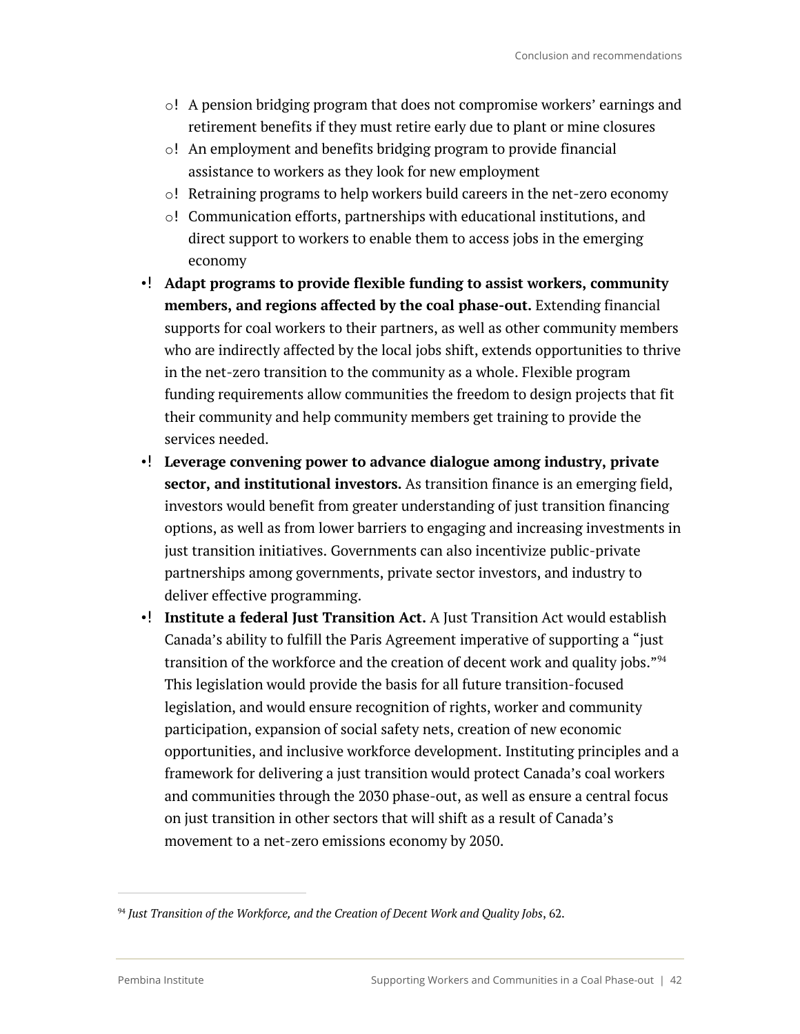- o! A pension bridging program that does not compromise workers' earnings and retirement benefits if they must retire early due to plant or mine closures
- $\circ!$  An employment and benefits bridging program to provide financial assistance to workers as they look for new employment
- $\circ!$  Retraining programs to help workers build careers in the net-zero economy
- $\circ$ ! Communication efforts, partnerships with educational institutions, and direct support to workers to enable them to access jobs in the emerging economy
- **Adapt programs to provide flexible funding to assist workers, community members, and regions affected by the coal phase-out.** Extending financial supports for coal workers to their partners, as well as other community members who are indirectly affected by the local jobs shift, extends opportunities to thrive in the net-zero transition to the community as a whole. Flexible program funding requirements allow communities the freedom to design projects that fit their community and help community members get training to provide the services needed.
- **Leverage convening power to advance dialogue among industry, private sector, and institutional investors.** As transition finance is an emerging field, investors would benefit from greater understanding of just transition financing options, as well as from lower barriers to engaging and increasing investments in just transition initiatives. Governments can also incentivize public-private partnerships among governments, private sector investors, and industry to deliver effective programming.
- •**!** Institute a federal Just Transition Act. A Just Transition Act would establish Canada's ability to fulfill the Paris Agreement imperative of supporting a "just transition of the workforce and the creation of decent work and quality jobs."<sup>94</sup> This legislation would provide the basis for all future transition-focused legislation, and would ensure recognition of rights, worker and community participation, expansion of social safety nets, creation of new economic opportunities, and inclusive workforce development. Instituting principles and a framework for delivering a just transition would protect Canada's coal workers and communities through the 2030 phase-out, as well as ensure a central focus on just transition in other sectors that will shift as a result of Canada's movement to a net-zero emissions economy by 2050.

<sup>94</sup> *Just Transition of the Workforce, and the Creation of Decent Work and Quality Jobs*, 62.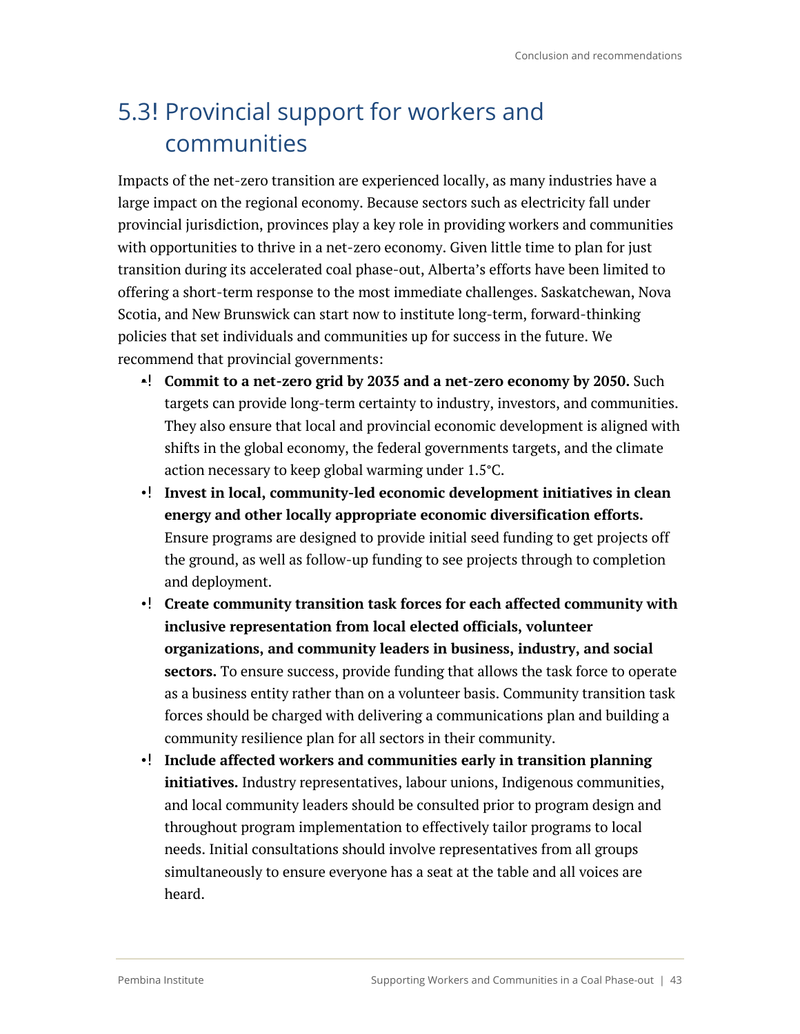# 5.3! Provincial support for workers and communities

Impacts of the net-zero transition are experienced locally, as many industries have a large impact on the regional economy. Because sectors such as electricity fall under provincial jurisdiction, provinces play a key role in providing workers and communities with opportunities to thrive in a net-zero economy. Given little time to plan for just transition during its accelerated coal phase-out, Alberta's efforts have been limited to offering a short-term response to the most immediate challenges. Saskatchewan, Nova Scotia, and New Brunswick can start now to institute long-term, forward-thinking policies that set individuals and communities up for success in the future. We recommend that provincial governments:

- **Commit to a net-zero grid by 2035 and a net-zero economy by 2050.** Such targets can provide long-term certainty to industry, investors, and communities. They also ensure that local and provincial economic development is aligned with shifts in the global economy, the federal governments targets, and the climate action necessary to keep global warming under 1.5°C.
- **Invest in local, community-led economic development initiatives in clean energy and other locally appropriate economic diversification efforts.** Ensure programs are designed to provide initial seed funding to get projects off the ground, as well as follow-up funding to see projects through to completion and deployment.
- **Create community transition task forces for each affected community with inclusive representation from local elected officials, volunteer organizations, and community leaders in business, industry, and social sectors.** To ensure success, provide funding that allows the task force to operate as a business entity rather than on a volunteer basis. Community transition task forces should be charged with delivering a communications plan and building a community resilience plan for all sectors in their community.
- •! Include affected workers and communities early in transition planning **initiatives.** Industry representatives, labour unions, Indigenous communities, and local community leaders should be consulted prior to program design and throughout program implementation to effectively tailor programs to local needs. Initial consultations should involve representatives from all groups simultaneously to ensure everyone has a seat at the table and all voices are heard.